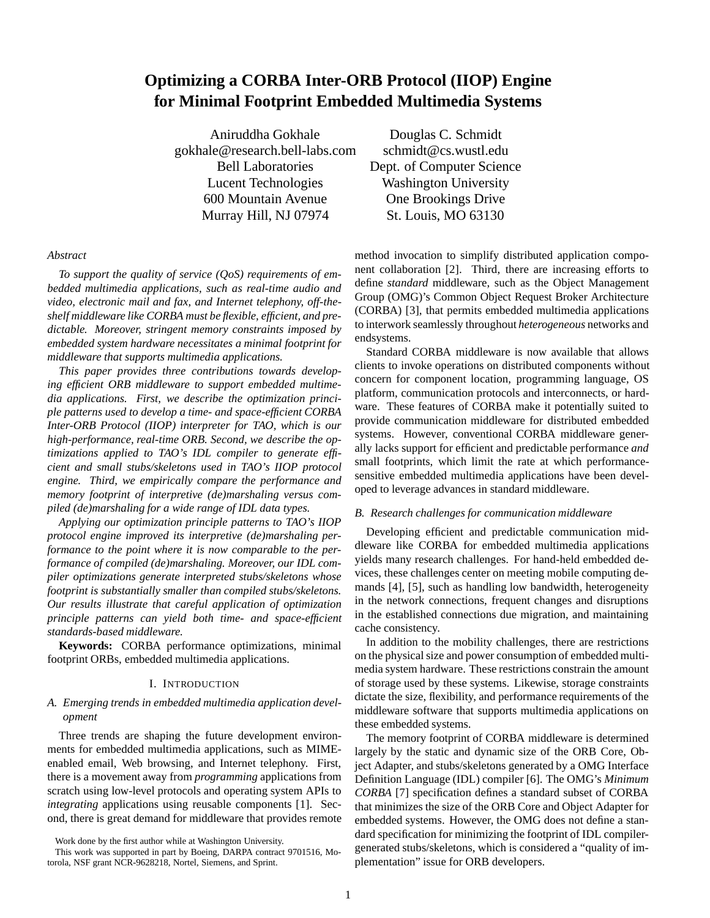# **Optimizing a CORBA Inter-ORB Protocol (IIOP) Engine for Minimal Footprint Embedded Multimedia Systems**

Aniruddha Gokhale Douglas C. Schmidt gokhale@research.bell-labs.com schmidt@cs.wustl.edu Lucent Technologies Washington University 600 Mountain Avenue One Brookings Drive Murray Hill, NJ 07974 St. Louis, MO 63130

Bell Laboratories Dept. of Computer Science

## *Abstract*

*To support the quality of service (QoS) requirements of embedded multimedia applications, such as real-time audio and video, electronic mail and fax, and Internet telephony, off-theshelf middleware like CORBA must be flexible, efficient, and predictable. Moreover, stringent memory constraints imposed by embedded system hardware necessitates a minimal footprint for middleware that supports multimedia applications.*

*This paper provides three contributions towards developing efficient ORB middleware to support embedded multimedia applications. First, we describe the optimization principle patterns used to develop a time- and space-efficient CORBA Inter-ORB Protocol (IIOP) interpreter for TAO, which is our high-performance, real-time ORB. Second, we describe the optimizations applied to TAO's IDL compiler to generate efficient and small stubs/skeletons used in TAO's IIOP protocol engine. Third, we empirically compare the performance and memory footprint of interpretive (de)marshaling versus compiled (de)marshaling for a wide range of IDL data types.*

*Applying our optimization principle patterns to TAO's IIOP protocol engine improved its interpretive (de)marshaling performance to the point where it is now comparable to the performance of compiled (de)marshaling. Moreover, our IDL compiler optimizations generate interpreted stubs/skeletons whose footprint is substantially smaller than compiled stubs/skeletons. Our results illustrate that careful application of optimization principle patterns can yield both time- and space-efficient standards-based middleware.*

**Keywords:** CORBA performance optimizations, minimal footprint ORBs, embedded multimedia applications.

### I. INTRODUCTION

## *A. Emerging trends in embedded multimedia application development*

Three trends are shaping the future development environments for embedded multimedia applications, such as MIMEenabled email, Web browsing, and Internet telephony. First, there is a movement away from *programming* applications from scratch using low-level protocols and operating system APIs to *integrating* applications using reusable components [1]. Second, there is great demand for middleware that provides remote

Work done by the first author while at Washington University.

method invocation to simplify distributed application component collaboration [2]. Third, there are increasing efforts to define *standard* middleware, such as the Object Management Group (OMG)'s Common Object Request Broker Architecture (CORBA) [3], that permits embedded multimedia applications to interwork seamlessly throughout *heterogeneous* networks and endsystems.

Standard CORBA middleware is now available that allows clients to invoke operations on distributed components without concern for component location, programming language, OS platform, communication protocols and interconnects, or hardware. These features of CORBA make it potentially suited to provide communication middleware for distributed embedded systems. However, conventional CORBA middleware generally lacks support for efficient and predictable performance *and* small footprints, which limit the rate at which performancesensitive embedded multimedia applications have been developed to leverage advances in standard middleware.

### *B. Research challenges for communication middleware*

Developing efficient and predictable communication middleware like CORBA for embedded multimedia applications yields many research challenges. For hand-held embedded devices, these challenges center on meeting mobile computing demands [4], [5], such as handling low bandwidth, heterogeneity in the network connections, frequent changes and disruptions in the established connections due migration, and maintaining cache consistency.

In addition to the mobility challenges, there are restrictions on the physical size and power consumption of embedded multimedia system hardware. These restrictions constrain the amount of storage used by these systems. Likewise, storage constraints dictate the size, flexibility, and performance requirements of the middleware software that supports multimedia applications on these embedded systems.

The memory footprint of CORBA middleware is determined largely by the static and dynamic size of the ORB Core, Object Adapter, and stubs/skeletons generated by a OMG Interface Definition Language (IDL) compiler [6]. The OMG's *Minimum CORBA* [7] specification defines a standard subset of CORBA that minimizes the size of the ORB Core and Object Adapter for embedded systems. However, the OMG does not define a standard specification for minimizing the footprint of IDL compilergenerated stubs/skeletons, which is considered a "quality of implementation" issue for ORB developers.

This work was supported in part by Boeing, DARPA contract 9701516, Motorola, NSF grant NCR-9628218, Nortel, Siemens, and Sprint.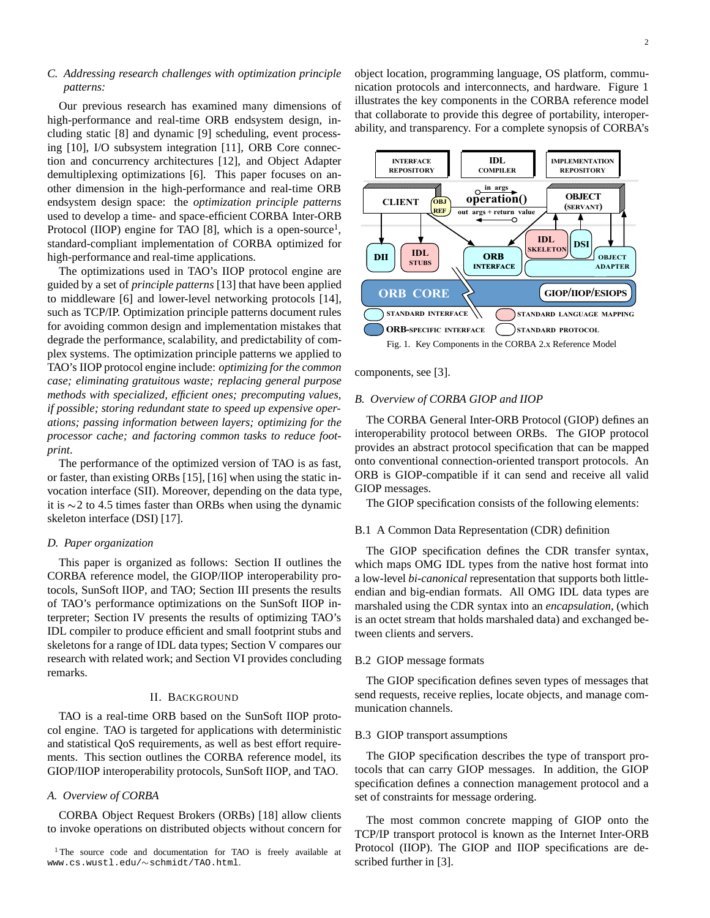## *C. Addressing research challenges with optimization principle patterns:*

Our previous research has examined many dimensions of high-performance and real-time ORB endsystem design, including static [8] and dynamic [9] scheduling, event processing [10], I/O subsystem integration [11], ORB Core connection and concurrency architectures [12], and Object Adapter demultiplexing optimizations [6]. This paper focuses on another dimension in the high-performance and real-time ORB endsystem design space: the *optimization principle patterns* used to develop a time- and space-efficient CORBA Inter-ORB Protocol (IIOP) engine for TAO [8], which is a open-source<sup>1</sup>, standard-compliant implementation of CORBA optimized for high-performance and real-time applications.

The optimizations used in TAO's IIOP protocol engine are guided by a set of *principle patterns* [13] that have been applied to middleware [6] and lower-level networking protocols [14], such as TCP/IP. Optimization principle patterns document rules for avoiding common design and implementation mistakes that degrade the performance, scalability, and predictability of complex systems. The optimization principle patterns we applied to TAO's IIOP protocol engine include: *optimizing for the common case; eliminating gratuitous waste; replacing general purpose methods with specialized, efficient ones; precomputing values, if possible; storing redundant state to speed up expensive operations; passing information between layers; optimizing for the processor cache; and factoring common tasks to reduce footprint*.

The performance of the optimized version of TAO is as fast, or faster, than existing ORBs [15], [16] when using the static invocation interface (SII). Moreover, depending on the data type, it is  $\sim$ 2 to 4.5 times faster than ORBs when using the dynamic skeleton interface (DSI) [17].

## *D. Paper organization*

This paper is organized as follows: Section II outlines the CORBA reference model, the GIOP/IIOP interoperability protocols, SunSoft IIOP, and TAO; Section III presents the results of TAO's performance optimizations on the SunSoft IIOP interpreter; Section IV presents the results of optimizing TAO's IDL compiler to produce efficient and small footprint stubs and skeletons for a range of IDL data types; Section V compares our research with related work; and Section VI provides concluding remarks.

### II. BACKGROUND

TAO is a real-time ORB based on the SunSoft IIOP protocol engine. TAO is targeted for applications with deterministic and statistical QoS requirements, as well as best effort requirements. This section outlines the CORBA reference model, its GIOP/IIOP interoperability protocols, SunSoft IIOP, and TAO.

## *A. Overview of CORBA*

CORBA Object Request Brokers (ORBs) [18] allow clients to invoke operations on distributed objects without concern for object location, programming language, OS platform, communication protocols and interconnects, and hardware. Figure 1 illustrates the key components in the CORBA reference model that collaborate to provide this degree of portability, interoperability, and transparency. For a complete synopsis of CORBA's



components, see [3].

### *B. Overview of CORBA GIOP and IIOP*

The CORBA General Inter-ORB Protocol (GIOP) defines an interoperability protocol between ORBs. The GIOP protocol provides an abstract protocol specification that can be mapped onto conventional connection-oriented transport protocols. An ORB is GIOP-compatible if it can send and receive all valid GIOP messages.

The GIOP specification consists of the following elements:

### B.1 A Common Data Representation (CDR) definition

The GIOP specification defines the CDR transfer syntax, which maps OMG IDL types from the native host format into a low-level *bi-canonical* representation that supports both littleendian and big-endian formats. All OMG IDL data types are marshaled using the CDR syntax into an *encapsulation*, (which is an octet stream that holds marshaled data) and exchanged between clients and servers.

### B.2 GIOP message formats

The GIOP specification defines seven types of messages that send requests, receive replies, locate objects, and manage communication channels.

### B.3 GIOP transport assumptions

The GIOP specification describes the type of transport protocols that can carry GIOP messages. In addition, the GIOP specification defines a connection management protocol and a set of constraints for message ordering.

The most common concrete mapping of GIOP onto the TCP/IP transport protocol is known as the Internet Inter-ORB Protocol (IIOP). The GIOP and IIOP specifications are described further in [3].

<sup>&</sup>lt;sup>1</sup>The source code and documentation for TAO is freely available at www.cs.wustl.edu/~schmidt/TAO.html.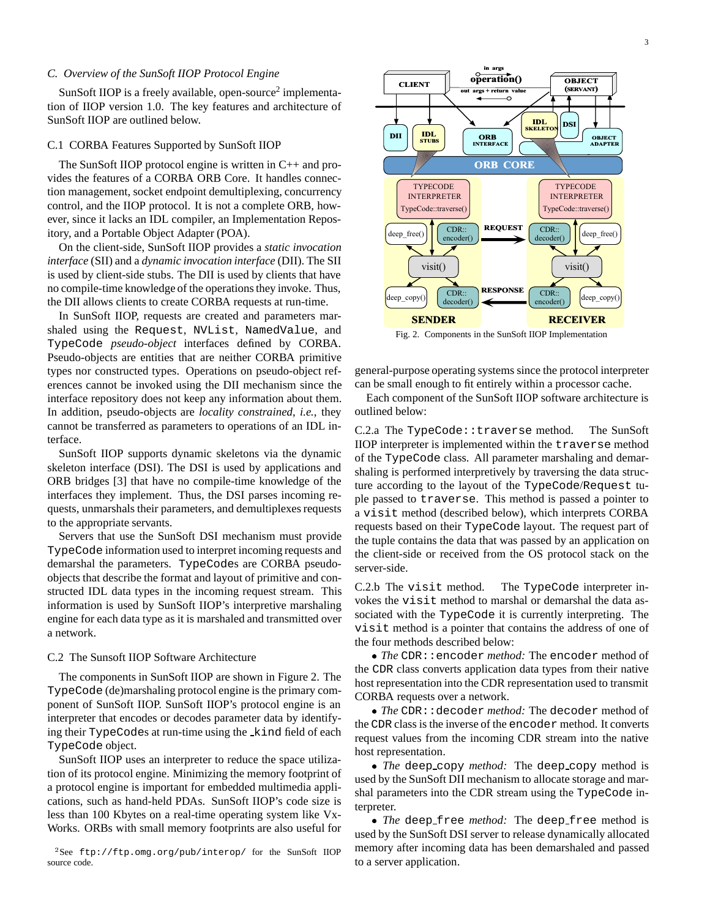## *C. Overview of the SunSoft IIOP Protocol Engine*

SunSoft IIOP is a freely available, open-source<sup>2</sup> implementation of IIOP version 1.0. The key features and architecture of SunSoft IIOP are outlined below.

### C.1 CORBA Features Supported by SunSoft IIOP

The SunSoft IIOP protocol engine is written in C++ and provides the features of a CORBA ORB Core. It handles connection management, socket endpoint demultiplexing, concurrency control, and the IIOP protocol. It is not a complete ORB, however, since it lacks an IDL compiler, an Implementation Repository, and a Portable Object Adapter (POA).

On the client-side, SunSoft IIOP provides a *static invocation interface* (SII) and a *dynamic invocation interface* (DII). The SII is used by client-side stubs. The DII is used by clients that have no compile-time knowledge of the operations they invoke. Thus, the DII allows clients to create CORBA requests at run-time.

In SunSoft IIOP, requests are created and parameters marshaled using the Request, NVList, NamedValue, and TypeCode *pseudo-object* interfaces defined by CORBA. Pseudo-objects are entities that are neither CORBA primitive types nor constructed types. Operations on pseudo-object references cannot be invoked using the DII mechanism since the interface repository does not keep any information about them. In addition, pseudo-objects are *locality constrained*, *i.e.*, they cannot be transferred as parameters to operations of an IDL interface.

SunSoft IIOP supports dynamic skeletons via the dynamic skeleton interface (DSI). The DSI is used by applications and ORB bridges [3] that have no compile-time knowledge of the interfaces they implement. Thus, the DSI parses incoming requests, unmarshals their parameters, and demultiplexes requests to the appropriate servants.

Servers that use the SunSoft DSI mechanism must provide TypeCode information used to interpret incoming requests and demarshal the parameters. TypeCodes are CORBA pseudoobjects that describe the format and layout of primitive and constructed IDL data types in the incoming request stream. This information is used by SunSoft IIOP's interpretive marshaling engine for each data type as it is marshaled and transmitted over a network.

### C.2 The Sunsoft IIOP Software Architecture

The components in SunSoft IIOP are shown in Figure 2. The TypeCode (de)marshaling protocol engine is the primary component of SunSoft IIOP. SunSoft IIOP's protocol engine is an interpreter that encodes or decodes parameter data by identifying their TypeCodes at run-time using the kind field of each TypeCode object.

SunSoft IIOP uses an interpreter to reduce the space utilization of its protocol engine. Minimizing the memory footprint of a protocol engine is important for embedded multimedia applications, such as hand-held PDAs. SunSoft IIOP's code size is less than 100 Kbytes on a real-time operating system like Vx-Works. ORBs with small memory footprints are also useful for

<sup>2</sup>See ftp://ftp.omg.org/pub/interop/ for the SunSoft IIOP source code.



Fig. 2. Components in the SunSoft IIOP Implementation

general-purpose operating systems since the protocol interpreter can be small enough to fit entirely within a processor cache.

Each component of the SunSoft IIOP software architecture is outlined below:

C.2.a The TypeCode::traverse method. The SunSoft IIOP interpreter is implemented within the traverse method of the TypeCode class. All parameter marshaling and demarshaling is performed interpretively by traversing the data structure according to the layout of the TypeCode/Request tuple passed to traverse. This method is passed a pointer to a visit method (described below), which interprets CORBA requests based on their TypeCode layout. The request part of the tuple contains the data that was passed by an application on the client-side or received from the OS protocol stack on the server-side.

C.2.b The visit method. The TypeCode interpreter invokes the visit method to marshal or demarshal the data associated with the TypeCode it is currently interpreting. The visit method is a pointer that contains the address of one of the four methods described below:

 *The* CDR::encoder *method:* The encoder method of the CDR class converts application data types from their native host representation into the CDR representation used to transmit CORBA requests over a network.

 *The* CDR::decoder *method:* The decoder method of the CDR class is the inverse of the encoder method. It converts request values from the incoming CDR stream into the native host representation.

 *The* deep copy *method:* The deep copy method is used by the SunSoft DII mechanism to allocate storage and marshal parameters into the CDR stream using the TypeCode interpreter.

 *The* deep free *method:* The deep free method is used by the SunSoft DSI server to release dynamically allocated memory after incoming data has been demarshaled and passed to a server application.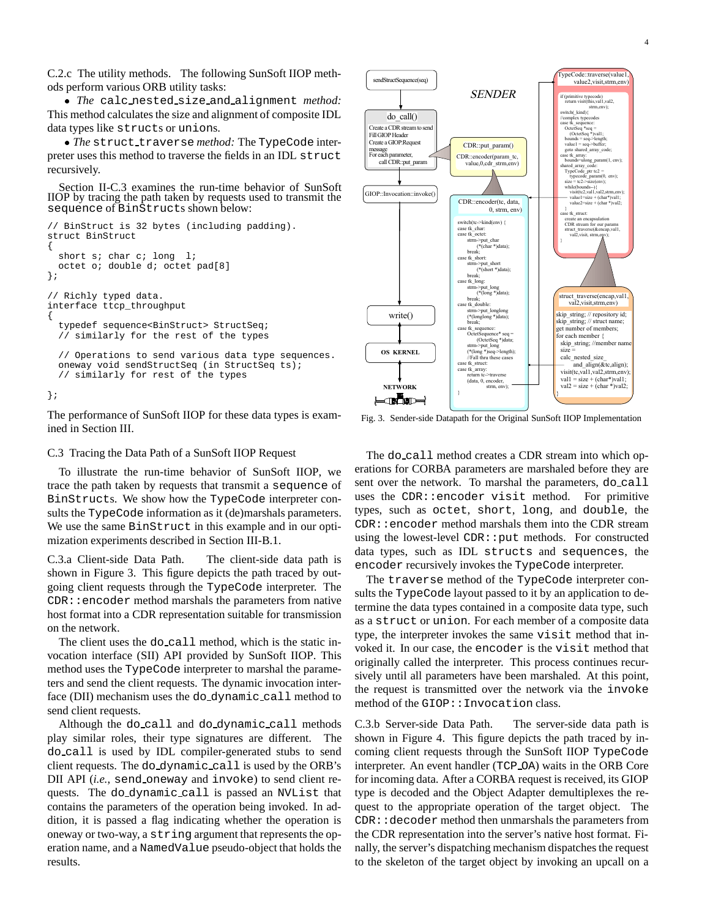C.2.c The utility methods. The following SunSoft IIOP methods perform various ORB utility tasks:

 *The* calc nested size and alignment *method:* This method calculates the size and alignment of composite IDL data types like structs or unions.

 *The* struct traverse *method:* The TypeCode interpreter uses this method to traverse the fields in an IDL struct recursively.

Section II-C.3 examines the run-time behavior of SunSoft IIOP by tracing the path taken by requests used to transmit the sequence of BinStructs shown below:

```
// BinStruct is 32 bytes (including padding).
struct BinStruct
{
  short s; char c; long l;
 octet o; double d; octet pad[8]
};
// Richly typed data.
interface ttcp_throughput
{
  typedef sequence<BinStruct> StructSeq;
  // similarly for the rest of the types
  // Operations to send various data type sequences.
 oneway void sendStructSeq (in StructSeq ts);
  // similarly for rest of the types
};
```
The performance of SunSoft IIOP for these data types is examined in Section III.

## C.3 Tracing the Data Path of a SunSoft IIOP Request

To illustrate the run-time behavior of SunSoft IIOP, we trace the path taken by requests that transmit a sequence of BinStructs. We show how the TypeCode interpreter consults the TypeCode information as it (de)marshals parameters. We use the same BinStruct in this example and in our optimization experiments described in Section III-B.1.

C.3.a Client-side Data Path. The client-side data path is shown in Figure 3. This figure depicts the path traced by outgoing client requests through the TypeCode interpreter. The CDR::encoder method marshals the parameters from native host format into a CDR representation suitable for transmission on the network.

The client uses the do\_call method, which is the static invocation interface (SII) API provided by SunSoft IIOP. This method uses the TypeCode interpreter to marshal the parameters and send the client requests. The dynamic invocation interface (DII) mechanism uses the do dynamic call method to send client requests.

Although the do call and do dynamic call methods play similar roles, their type signatures are different. The do call is used by IDL compiler-generated stubs to send client requests. The do dynamic call is used by the ORB's DII API *(i.e.*, send oneway and invoke) to send client requests. The do dynamic call is passed an NVList that contains the parameters of the operation being invoked. In addition, it is passed a flag indicating whether the operation is oneway or two-way, a string argument that represents the operation name, and a NamedValue pseudo-object that holds the results.



Fig. 3. Sender-side Datapath for the Original SunSoft IIOP Implementation

The do call method creates a CDR stream into which operations for CORBA parameters are marshaled before they are sent over the network. To marshal the parameters, do\_call uses the CDR::encoder visit method. For primitive types, such as octet, short, long, and double, the CDR::encoder method marshals them into the CDR stream using the lowest-level  $CDR:$ : put methods. For constructed data types, such as IDL structs and sequences, the encoder recursively invokes the TypeCode interpreter.

The traverse method of the TypeCode interpreter consults the TypeCode layout passed to it by an application to determine the data types contained in a composite data type, such as a struct or union. For each member of a composite data type, the interpreter invokes the same visit method that invoked it. In our case, the encoder is the visit method that originally called the interpreter. This process continues recursively until all parameters have been marshaled. At this point, the request is transmitted over the network via the invoke method of the GIOP:: Invocation class.

C.3.b Server-side Data Path. The server-side data path is shown in Figure 4. This figure depicts the path traced by incoming client requests through the SunSoft IIOP TypeCode interpreter. An event handler (TCP OA) waits in the ORB Core for incoming data. After a CORBA request is received, its GIOP type is decoded and the Object Adapter demultiplexes the request to the appropriate operation of the target object. The CDR::decoder method then unmarshals the parameters from the CDR representation into the server's native host format. Finally, the server's dispatching mechanism dispatches the request to the skeleton of the target object by invoking an upcall on a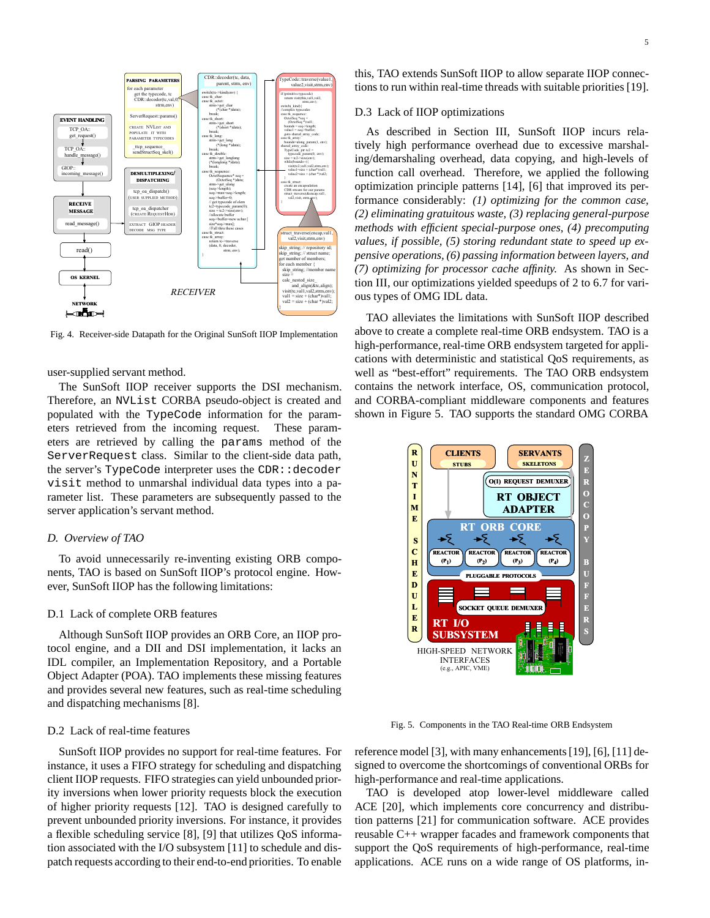

Fig. 4. Receiver-side Datapath for the Original SunSoft IIOP Implementation

### user-supplied servant method.

The SunSoft IIOP receiver supports the DSI mechanism. Therefore, an NVList CORBA pseudo-object is created and populated with the TypeCode information for the parameters retrieved from the incoming request. These parameters are retrieved by calling the params method of the ServerRequest class. Similar to the client-side data path, the server's TypeCode interpreter uses the CDR:: decoder visit method to unmarshal individual data types into a parameter list. These parameters are subsequently passed to the server application's servant method.

### *D. Overview of TAO*

To avoid unnecessarily re-inventing existing ORB components, TAO is based on SunSoft IIOP's protocol engine. However, SunSoft IIOP has the following limitations:

### D.1 Lack of complete ORB features

Although SunSoft IIOP provides an ORB Core, an IIOP protocol engine, and a DII and DSI implementation, it lacks an IDL compiler, an Implementation Repository, and a Portable Object Adapter (POA). TAO implements these missing features and provides several new features, such as real-time scheduling and dispatching mechanisms [8].

### D.2 Lack of real-time features

SunSoft IIOP provides no support for real-time features. For instance, it uses a FIFO strategy for scheduling and dispatching client IIOP requests. FIFO strategies can yield unbounded priority inversions when lower priority requests block the execution of higher priority requests [12]. TAO is designed carefully to prevent unbounded priority inversions. For instance, it provides a flexible scheduling service [8], [9] that utilizes QoS information associated with the I/O subsystem [11] to schedule and dispatch requests according to their end-to-end priorities. To enable

this, TAO extends SunSoft IIOP to allow separate IIOP connections to run within real-time threads with suitable priorities [19].

## D.3 Lack of IIOP optimizations

As described in Section III, SunSoft IIOP incurs relatively high performance overhead due to excessive marshaling/demarshaling overhead, data copying, and high-levels of function call overhead. Therefore, we applied the following optimization principle patterns [14], [6] that improved its performance considerably: *(1) optimizing for the common case, (2) eliminating gratuitous waste, (3) replacing general-purpose methods with efficient special-purpose ones, (4) precomputing values, if possible, (5) storing redundant state to speed up expensive operations, (6) passing information between layers, and (7) optimizing for processor cache affinity.* As shown in Section III, our optimizations yielded speedups of 2 to 6.7 for various types of OMG IDL data.

TAO alleviates the limitations with SunSoft IIOP described above to create a complete real-time ORB endsystem. TAO is a high-performance, real-time ORB endsystem targeted for applications with deterministic and statistical QoS requirements, as well as "best-effort" requirements. The TAO ORB endsystem contains the network interface, OS, communication protocol, and CORBA-compliant middleware components and features shown in Figure 5. TAO supports the standard OMG CORBA



Fig. 5. Components in the TAO Real-time ORB Endsystem

reference model [3], with many enhancements [19], [6], [11] designed to overcome the shortcomings of conventional ORBs for high-performance and real-time applications.

TAO is developed atop lower-level middleware called ACE [20], which implements core concurrency and distribution patterns [21] for communication software. ACE provides reusable C++ wrapper facades and framework components that support the QoS requirements of high-performance, real-time applications. ACE runs on a wide range of OS platforms, in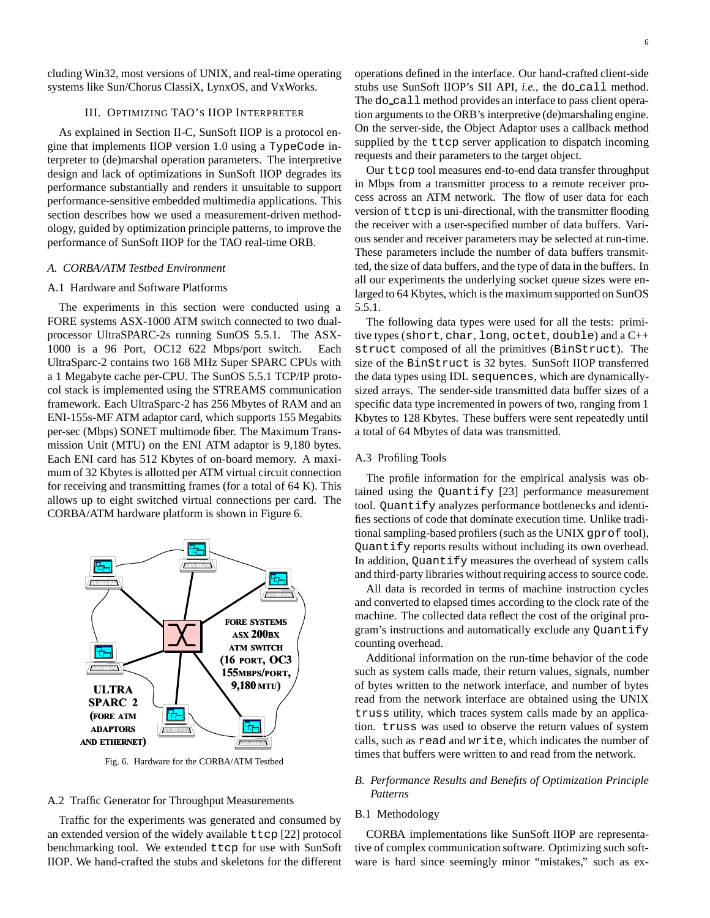cluding Win32, most versions of UNIX, and real-time operating systems like Sun/Chorus ClassiX, LynxOS, and VxWorks.

## III. OPTIMIZING TAO'S IIOP INTERPRETER

As explained in Section II-C, SunSoft IIOP is a protocol engine that implements IIOP version 1.0 using a TypeCode interpreter to (de)marshal operation parameters. The interpretive design and lack of optimizations in SunSoft IIOP degrades its performance substantially and renders it unsuitable to support performance-sensitive embedded multimedia applications. This section describes how we used a measurement-driven methodology, guided by optimization principle patterns, to improve the performance of SunSoft IIOP for the TAO real-time ORB.

### *A. CORBA/ATM Testbed Environment*

### A.1 Hardware and Software Platforms

The experiments in this section were conducted using a FORE systems ASX-1000 ATM switch connected to two dualprocessor UltraSPARC-2s running SunOS 5.5.1. The ASX-1000 is a 96 Port, OC12 622 Mbps/port switch. Each UltraSparc-2 contains two 168 MHz Super SPARC CPUs with a 1 Megabyte cache per-CPU. The SunOS 5.5.1 TCP/IP protocol stack is implemented using the STREAMS communication framework. Each UltraSparc-2 has 256 Mbytes of RAM and an ENI-155s-MF ATM adaptor card, which supports 155 Megabits per-sec (Mbps) SONET multimode fiber. The Maximum Transmission Unit (MTU) on the ENI ATM adaptor is 9,180 bytes. Each ENI card has 512 Kbytes of on-board memory. A maximum of 32 Kbytes is allotted per ATM virtual circuit connection for receiving and transmitting frames (for a total of 64 K). This allows up to eight switched virtual connections per card. The CORBA/ATM hardware platform is shown in Figure 6.



Fig. 6. Hardware for the CORBA/ATM Testbed

### A.2 Traffic Generator for Throughput Measurements

Traffic for the experiments was generated and consumed by an extended version of the widely available ttcp [22] protocol benchmarking tool. We extended ttcp for use with SunSoft IIOP. We hand-crafted the stubs and skeletons for the different

operations defined in the interface. Our hand-crafted client-side stubs use SunSoft IIOP's SII API, *i.e.*, the do\_call method. The do\_call method provides an interface to pass client operation arguments to the ORB's interpretive (de)marshaling engine. On the server-side, the Object Adaptor uses a callback method supplied by the ttcp server application to dispatch incoming requests and their parameters to the target object.

Our ttcp tool measures end-to-end data transfer throughput in Mbps from a transmitter process to a remote receiver process across an ATM network. The flow of user data for each version of ttcp is uni-directional, with the transmitter flooding the receiver with a user-specified number of data buffers. Various sender and receiver parameters may be selected at run-time. These parameters include the number of data buffers transmitted, the size of data buffers, and the type of data in the buffers. In all our experiments the underlying socket queue sizes were enlarged to 64 Kbytes, which is the maximum supported on SunOS 5.5.1.

The following data types were used for all the tests: primitive types (short, char, long, octet, double) and a C++ struct composed of all the primitives (BinStruct). The size of the BinStruct is 32 bytes. SunSoft IIOP transferred the data types using IDL sequences, which are dynamicallysized arrays. The sender-side transmitted data buffer sizes of a specific data type incremented in powers of two, ranging from 1 Kbytes to 128 Kbytes. These buffers were sent repeatedly until a total of 64 Mbytes of data was transmitted.

## A.3 Profiling Tools

The profile information for the empirical analysis was obtained using the Quantify [23] performance measurement tool. Quantify analyzes performance bottlenecks and identifies sections of code that dominate execution time. Unlike traditional sampling-based profilers (such as the UNIX gprof tool), Quantify reports results without including its own overhead. In addition, Quantify measures the overhead of system calls and third-party libraries without requiring access to source code.

All data is recorded in terms of machine instruction cycles and converted to elapsed times according to the clock rate of the machine. The collected data reflect the cost of the original program's instructions and automatically exclude any Quantify counting overhead.

Additional information on the run-time behavior of the code such as system calls made, their return values, signals, number of bytes written to the network interface, and number of bytes read from the network interface are obtained using the UNIX truss utility, which traces system calls made by an application. truss was used to observe the return values of system calls, such as read and write, which indicates the number of times that buffers were written to and read from the network.

## *B. Performance Results and Benefits of Optimization Principle Patterns*

## B.1 Methodology

CORBA implementations like SunSoft IIOP are representative of complex communication software. Optimizing such software is hard since seemingly minor "mistakes," such as ex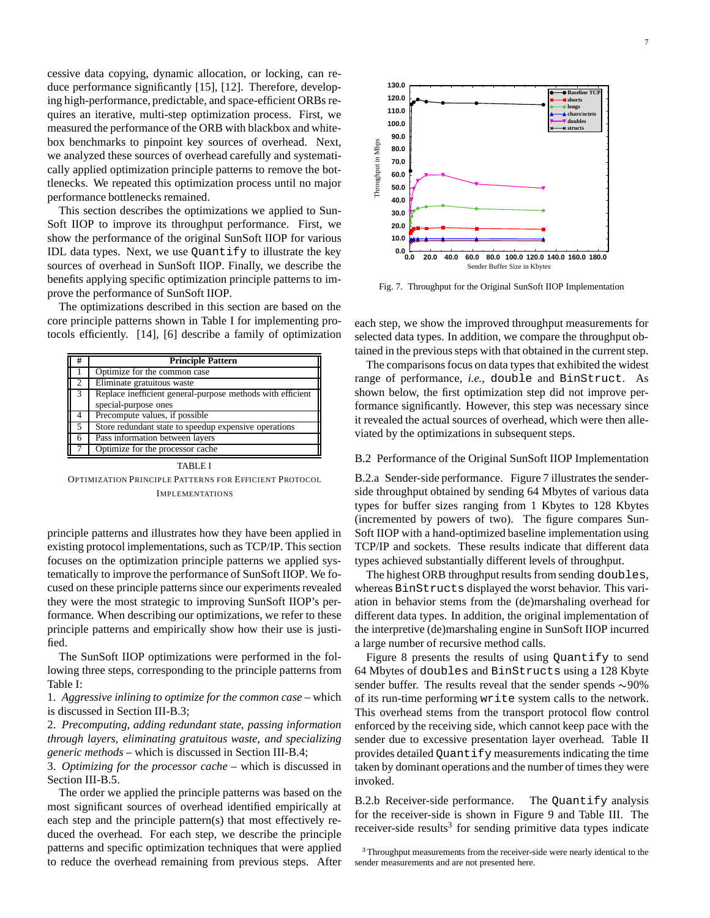cessive data copying, dynamic allocation, or locking, can reduce performance significantly [15], [12]. Therefore, developing high-performance, predictable, and space-efficient ORBs requires an iterative, multi-step optimization process. First, we measured the performance of the ORB with blackbox and whitebox benchmarks to pinpoint key sources of overhead. Next, we analyzed these sources of overhead carefully and systematically applied optimization principle patterns to remove the bottlenecks. We repeated this optimization process until no major performance bottlenecks remained.

This section describes the optimizations we applied to Sun-Soft IIOP to improve its throughput performance. First, we show the performance of the original SunSoft IIOP for various IDL data types. Next, we use  $Quantify$  to illustrate the key sources of overhead in SunSoft IIOP. Finally, we describe the benefits applying specific optimization principle patterns to improve the performance of SunSoft IIOP.

The optimizations described in this section are based on the core principle patterns shown in Table I for implementing protocols efficiently. [14], [6] describe a family of optimization

| 77 | <b>Principle Pattern</b>                                   |
|----|------------------------------------------------------------|
|    | Optimize for the common case                               |
|    | Eliminate gratuitous waste                                 |
|    | Replace inefficient general-purpose methods with efficient |
|    | special-purpose ones                                       |
|    | Precompute values, if possible                             |
| .5 | Store redundant state to speedup expensive operations      |
| 6  | Pass information between layers                            |
|    | Optimize for the processor cache                           |

TABLE I OPTIMIZATION PRINCIPLE PATTERNS FOR EFFICIENT PROTOCOL IMPLEMENTATIONS

principle patterns and illustrates how they have been applied in existing protocol implementations, such as TCP/IP. This section focuses on the optimization principle patterns we applied systematically to improve the performance of SunSoft IIOP. We focused on these principle patterns since our experiments revealed they were the most strategic to improving SunSoft IIOP's performance. When describing our optimizations, we refer to these principle patterns and empirically show how their use is justified.

The SunSoft IIOP optimizations were performed in the following three steps, corresponding to the principle patterns from Table I:

1. *Aggressive inlining to optimize for the common case* – which is discussed in Section III-B.3;

2. *Precomputing, adding redundant state, passing information through layers, eliminating gratuitous waste, and specializing generic methods* – which is discussed in Section III-B.4;

3. *Optimizing for the processor cache* – which is discussed in Section III-B.5.

The order we applied the principle patterns was based on the most significant sources of overhead identified empirically at each step and the principle pattern(s) that most effectively reduced the overhead. For each step, we describe the principle patterns and specific optimization techniques that were applied to reduce the overhead remaining from previous steps. After



Fig. 7. Throughput for the Original SunSoft IIOP Implementation

each step, we show the improved throughput measurements for selected data types. In addition, we compare the throughput obtained in the previous steps with that obtained in the current step.

The comparisons focus on data types that exhibited the widest range of performance, *i.e.*, double and BinStruct. As shown below, the first optimization step did not improve performance significantly. However, this step was necessary since it revealed the actual sources of overhead, which were then alleviated by the optimizations in subsequent steps.

## B.2 Performance of the Original SunSoft IIOP Implementation

B.2.a Sender-side performance. Figure 7 illustrates the senderside throughput obtained by sending 64 Mbytes of various data types for buffer sizes ranging from 1 Kbytes to 128 Kbytes (incremented by powers of two). The figure compares Sun-Soft IIOP with a hand-optimized baseline implementation using TCP/IP and sockets. These results indicate that different data types achieved substantially different levels of throughput.

The highest ORB throughput results from sending doubles, whereas BinStructs displayed the worst behavior. This variation in behavior stems from the (de)marshaling overhead for different data types. In addition, the original implementation of the interpretive (de)marshaling engine in SunSoft IIOP incurred a large number of recursive method calls.

Figure 8 presents the results of using Quantify to send 64 Mbytes of doubles and BinStructs using a 128 Kbyte sender buffer. The results reveal that the sender spends  $\sim 90\%$ of its run-time performing write system calls to the network. This overhead stems from the transport protocol flow control enforced by the receiving side, which cannot keep pace with the sender due to excessive presentation layer overhead. Table II provides detailed Quantify measurements indicating the time taken by dominant operations and the number of times they were invoked.

B.2.b Receiver-side performance. The Quantify analysis for the receiver-side is shown in Figure 9 and Table III. The receiver-side results<sup>3</sup> for sending primitive data types indicate

<sup>&</sup>lt;sup>3</sup>Throughput measurements from the receiver-side were nearly identical to the sender measurements and are not presented here.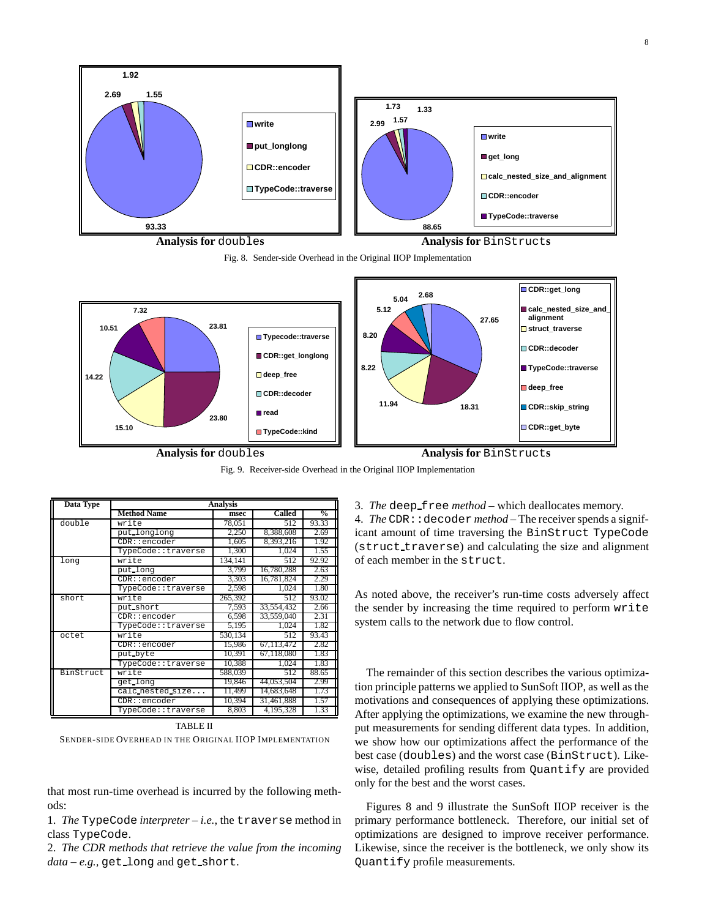

Fig. 8. Sender-side Overhead in the Original IIOP Implementation



Fig. 9. Receiver-side Overhead in the Original IIOP Implementation

| Data Type | <b>Analysis</b>                     |         |               |               |
|-----------|-------------------------------------|---------|---------------|---------------|
|           | <b>Method Name</b>                  | msec    | <b>Called</b> | $\frac{0}{2}$ |
| double    | write                               | 78.051  | 512           | 93.33         |
|           | put_longlong                        | 2,250   | 8.388.608     | 2.69          |
|           | CDR::encoder                        | 1,605   | 8,393,216     | 1.92          |
|           | TypeCode: : traverse                | 1.300   | 1.024         | 1.55          |
| long      | write                               | 134,141 | 512           | 92.92         |
|           | put long                            | 3.799   | 16,780,288    | 2.63          |
|           | $CDR:$ : encoder                    | 3,303   | 16,781,824    | 2.29          |
|           | TypeCode::traverse                  | 2,598   | 1,024         | 1.80          |
| short     | write                               | 265,392 | 512           | 93.02         |
|           | put_short                           | 7.593   | 33.554.432    | 2.66          |
|           | CDR::encoder                        | 6,598   | 33,559,040    | 2.31          |
|           | TypeCode::traverse                  | 5,195   | 1,024         | 1.82          |
| octet     | write                               | 530.134 | 512           | 93.43         |
|           | $CDR: \in \overline{\text{ncoder}}$ | 15.986  | 67.113.472    | 2.82          |
|           | put byte                            | 10,391  | 67,118,080    | 1.83          |
|           | TypeCode::traverse                  | 10,388  | 1.024         | 1.83          |
| BinStruct | write                               | 588,039 | 512           | 88.65         |
|           | get long                            | 19.846  | 44,053,504    | 2.99          |
|           | calc_nested_size                    | 11,499  | 14,683,648    | 1.73          |
|           | $CDR: \in \mathbb{C}$ ncoder        | 10.394  | 31,461,888    | 1.57          |
|           | TypeCode::traverse                  | 8,803   | 4,195,328     | 1.33          |

TABLE II

SENDER-SIDE OVERHEAD IN THE ORIGINAL IIOP IMPLEMENTATION

that most run-time overhead is incurred by the following methods:

1. *The* TypeCode *interpreter* – *i.e.*, the traverse method in class TypeCode.

2. *The CDR methods that retrieve the value from the incoming data* – *e.g.,* get long and get short.

3. *The* deep free *method* – which deallocates memory. 4. *The* CDR::decoder *method* – The receiver spends a significant amount of time traversing the BinStruct TypeCode (struct\_traverse) and calculating the size and alignment of each member in the struct.

As noted above, the receiver's run-time costs adversely affect the sender by increasing the time required to perform write system calls to the network due to flow control.

The remainder of this section describes the various optimization principle patterns we applied to SunSoft IIOP, as well as the motivations and consequences of applying these optimizations. After applying the optimizations, we examine the new throughput measurements for sending different data types. In addition, we show how our optimizations affect the performance of the best case (doubles) and the worst case (BinStruct). Likewise, detailed profiling results from Quantify are provided only for the best and the worst cases.

Figures 8 and 9 illustrate the SunSoft IIOP receiver is the primary performance bottleneck. Therefore, our initial set of optimizations are designed to improve receiver performance. Likewise, since the receiver is the bottleneck, we only show its Quantify profile measurements.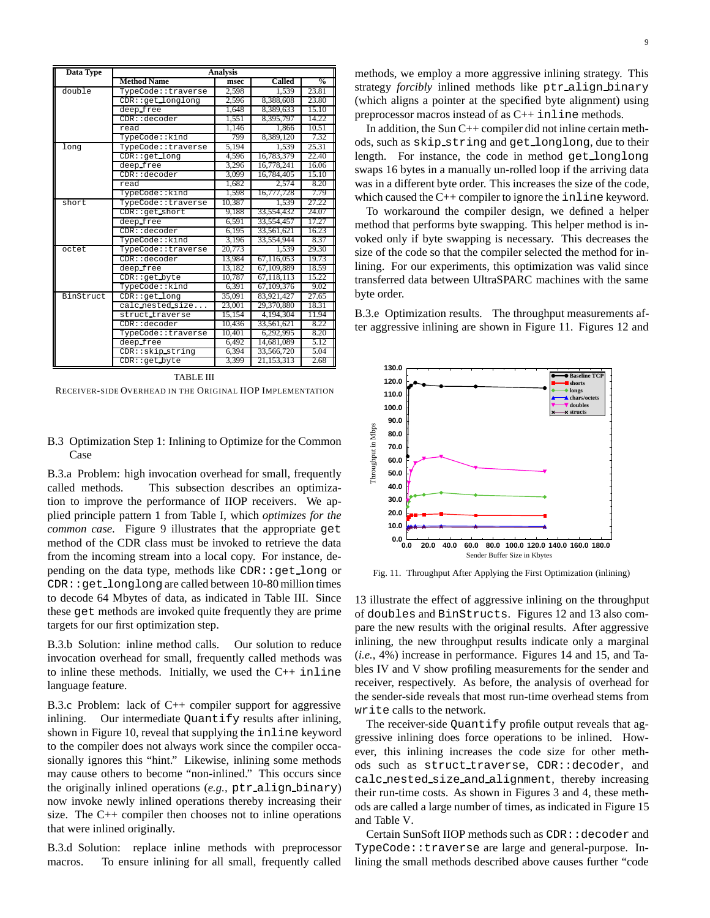| Data Type |                    | <b>Analysis</b> |            |       |
|-----------|--------------------|-----------------|------------|-------|
|           | <b>Method Name</b> | msec            | Called     | %     |
| double    | TypeCode::traverse | 2.598           | 1.539      | 23.81 |
|           | CDR::get_longlong  | 2,596           | 8,388,608  | 23.80 |
|           | deep free          | 1,648           | 8,389,633  | 15.10 |
|           | CDR::decoder       | 1,551           | 8,395,797  | 14.22 |
|           | read               | 1,146           | 1.866      | 10.51 |
|           | TypeCode::kind     | 799             | 8,389,120  | 7.32  |
| long      | TypeCode::traverse | 5.194           | 1.539      | 25.31 |
|           | CDR::get_long      | 4.596           | 16.783.379 | 22.40 |
|           | deep_free          | 3,296           | 16,778,241 | 16.06 |
|           | CDF: decoder       | 3,099           | 16,784,405 | 15.10 |
|           | read               | 1,682           | 2,574      | 8.20  |
|           | TypeCode::kind     | 1,598           | 16,777,728 | 7.79  |
| short     | TypeCode::traverse | 10.387          | 1.539      | 27.22 |
|           | CDR::get_short     | 9.188           | 33.554.432 | 24.07 |
|           | deep_free          | 6,591           | 33,554,457 | 17.27 |
|           | CDF: decoder       | 6.195           | 33,561,621 | 16.23 |
|           | TypeCode::kind     | 3,196           | 33,554,944 | 8.37  |
| octet     | TypeCode::traverse | 20,773          | 1.539      | 29.30 |
|           | CDF: decoder       | 13,984          | 67,116,053 | 19.73 |
|           | deep free          | 13.182          | 67,109,889 | 18.59 |
|           | CDR::get byte      | 10.787          | 67,118,113 | 15.22 |
|           | TypeCode::kind     | 6,391           | 67,109,376 | 9.02  |
| BinStruct | CDR:: qet long     | 35,091          | 83,921,427 | 27.65 |
|           | calc nested size   | 23,001          | 29,370,880 | 18.31 |
|           | struct_traverse    | 15.154          | 4,194,304  | 11.94 |
|           | CDR::decoder       | 10,436          | 33,561,621 | 8.22  |
|           | TypeCode::traverse | 10,401          | 6,292,995  | 8.20  |
|           | deep_free          | 6,492           | 14,681,089 | 5.12  |
|           | CDF:skipstrin      | 6.394           | 33,566,720 | 5.04  |
|           | CDF: get byte      | 3,399           | 21,153,313 | 2.68  |
|           | TABLE III          |                 |            |       |

RECEIVER-SIDE OVERHEAD IN THE ORIGINAL IIOP IMPLEMENTATION

## B.3 Optimization Step 1: Inlining to Optimize for the Common Case

B.3.a Problem: high invocation overhead for small, frequently called methods. This subsection describes an optimization to improve the performance of IIOP receivers. We applied principle pattern 1 from Table I, which *optimizes for the common case*. Figure 9 illustrates that the appropriate get method of the CDR class must be invoked to retrieve the data from the incoming stream into a local copy. For instance, depending on the data type, methods like CDR::get\_long or  $CDR: qet\_longLong are called between 10-80 million times$ to decode 64 Mbytes of data, as indicated in Table III. Since these get methods are invoked quite frequently they are prime targets for our first optimization step.

B.3.b Solution: inline method calls. Our solution to reduce invocation overhead for small, frequently called methods was to inline these methods. Initially, we used the C++ inline language feature.

B.3.c Problem: lack of C++ compiler support for aggressive inlining. Our intermediate Quantify results after inlining, shown in Figure 10, reveal that supplying the inline keyword to the compiler does not always work since the compiler occasionally ignores this "hint." Likewise, inlining some methods may cause others to become "non-inlined." This occurs since the originally inlined operations (*e.g.,* ptr align binary) now invoke newly inlined operations thereby increasing their size. The C++ compiler then chooses not to inline operations that were inlined originally.

B.3.d Solution: replace inline methods with preprocessor macros. To ensure inlining for all small, frequently called

methods, we employ a more aggressive inlining strategy. This strategy *forcibly* inlined methods like ptr align binary (which aligns a pointer at the specified byte alignment) using preprocessor macros instead of as C++ inline methods.

In addition, the Sun C++ compiler did not inline certain methods, such as skip string and get longlong, due to their length. For instance, the code in method get\_longlong swaps 16 bytes in a manually un-rolled loop if the arriving data was in a different byte order. This increases the size of the code, which caused the C++ compiler to ignore the inline keyword.

To workaround the compiler design, we defined a helper method that performs byte swapping. This helper method is invoked only if byte swapping is necessary. This decreases the size of the code so that the compiler selected the method for inlining. For our experiments, this optimization was valid since transferred data between UltraSPARC machines with the same byte order.

B.3.e Optimization results. The throughput measurements after aggressive inlining are shown in Figure 11. Figures 12 and



Fig. 11. Throughput After Applying the First Optimization (inlining)

13 illustrate the effect of aggressive inlining on the throughput of doubles and BinStructs. Figures 12 and 13 also compare the new results with the original results. After aggressive inlining, the new throughput results indicate only a marginal (*i.e.*, 4%) increase in performance. Figures 14 and 15, and Tables IV and V show profiling measurements for the sender and receiver, respectively. As before, the analysis of overhead for the sender-side reveals that most run-time overhead stems from write calls to the network.

The receiver-side Quantify profile output reveals that aggressive inlining does force operations to be inlined. However, this inlining increases the code size for other methods such as struct traverse, CDR::decoder, and calc nested size and alignment, thereby increasing their run-time costs. As shown in Figures 3 and 4, these methods are called a large number of times, as indicated in Figure 15 and Table V.

Certain SunSoft IIOP methods such as CDR::decoder and TypeCode::traverse are large and general-purpose. Inlining the small methods described above causes further "code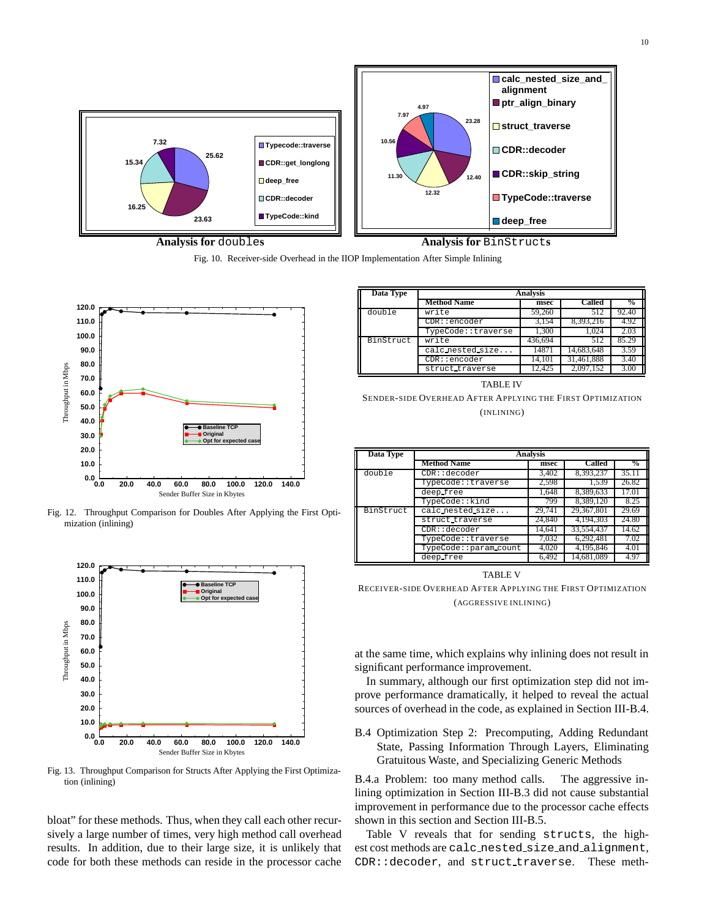

**Analysis for** double**s Analysis for** BinStruct**s**

Fig. 10. Receiver-side Overhead in the IIOP Implementation After Simple Inlining



Fig. 12. Throughput Comparison for Doubles After Applying the First Optimization (inlining)



Fig. 13. Throughput Comparison for Structs After Applying the First Optimization (inlining)

bloat" for these methods. Thus, when they call each other recursively a large number of times, very high method call overhead results. In addition, due to their large size, it is unlikely that code for both these methods can reside in the processor cache

| Data Type | <b>Analysis</b>                |         |               |               |
|-----------|--------------------------------|---------|---------------|---------------|
|           | <b>Method Name</b>             | msec    | <b>Called</b> | $\frac{6}{9}$ |
| double    | write                          | 59,260  | 512           | 92.40         |
|           | $CDR: \in \mathbb{C}$ rencoder | 3.154   | 8,393,216     | 4.92          |
|           | TypeCode::traverse             | 1.300   | 1.024         | 2.03          |
| BinStruct | write                          | 436.694 | 512           | 85.29         |
|           | calc_nested_size               | 14871   | 14,683,648    | 3.59          |
|           | $CDR: \in \mathbb{C}$ rencoder | 14.101  | 31,461,888    | 3.40          |
|           | struct traverse                | 12.425  | 2.097.152     | 3.00          |
| TARI E IV |                                |         |               |               |

SENDER-SIDE OVERHEAD AFTER APPLYING THE FIRST OPTIMIZATION (INLINING)

| Data Type | <b>Analysis</b>       |        |            |               |  |  |
|-----------|-----------------------|--------|------------|---------------|--|--|
|           | <b>Method Name</b>    | msec   | Called     | $\frac{0}{0}$ |  |  |
| double    | CDF: decoder          | 3.402  | 8,393,237  | 35.11         |  |  |
|           | TypeCode::traverse    | 2.598  | 1.539      | 26.82         |  |  |
|           | deep_free             | 1,648  | 8,389,633  | 17.01         |  |  |
|           | TypeCode::kind        | 799    | 8,389,120  | 8.25          |  |  |
| BinStruct | calc_nested_size      | 29,741 | 29,367,801 | 29.69         |  |  |
|           | struct_traverse       | 24,840 | 4,194,303  | 24.80         |  |  |
|           | CDF: decoder          | 14,641 | 33.554.437 | 14.62         |  |  |
|           | TypeCode::traverse    | 7.032  | 6.292.481  | 7.02          |  |  |
|           | TypeCode::param.count | 4.020  | 4.195.846  | 4.01          |  |  |
|           | deep free             | 6.492  | 14.681.089 | 4.97          |  |  |



at the same time, which explains why inlining does not result in significant performance improvement.

In summary, although our first optimization step did not improve performance dramatically, it helped to reveal the actual sources of overhead in the code, as explained in Section III-B.4.

B.4 Optimization Step 2: Precomputing, Adding Redundant State, Passing Information Through Layers, Eliminating Gratuitous Waste, and Specializing Generic Methods

B.4.a Problem: too many method calls. The aggressive inlining optimization in Section III-B.3 did not cause substantial improvement in performance due to the processor cache effects shown in this section and Section III-B.5.

Table V reveals that for sending structs, the highest cost methods are calc nested size and alignment, CDR::decoder, and struct traverse. These meth-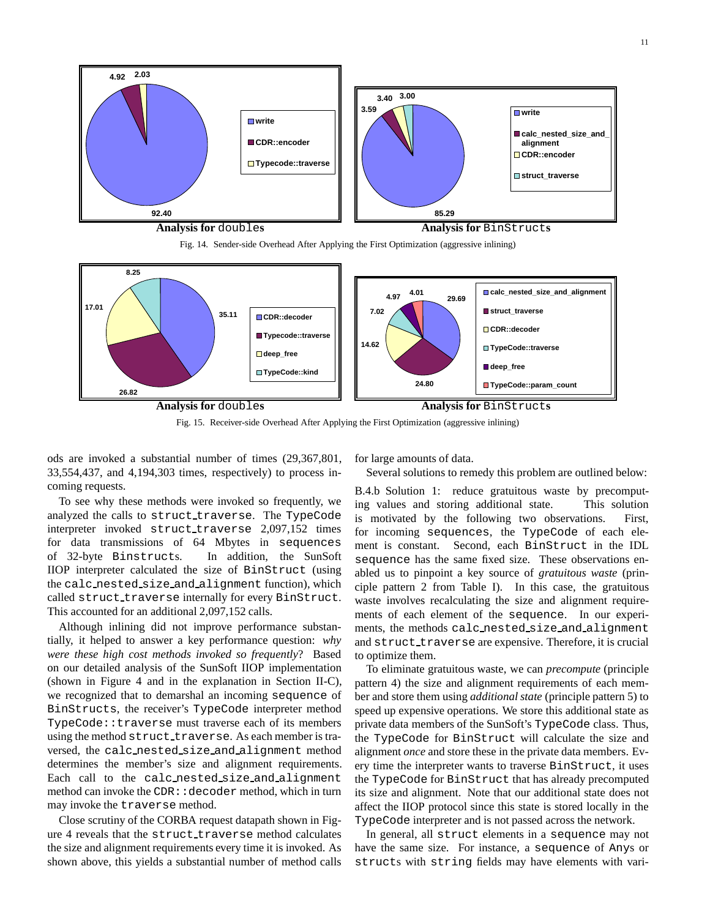

**Analysis for** double**s Analysis for** BinStruct**s**





Fig. 15. Receiver-side Overhead After Applying the First Optimization (aggressive inlining)

ods are invoked a substantial number of times (29,367,801, 33,554,437, and 4,194,303 times, respectively) to process incoming requests.

To see why these methods were invoked so frequently, we analyzed the calls to struct traverse. The TypeCode interpreter invoked struct traverse 2,097,152 times for data transmissions of 64 Mbytes in sequences of 32-byte Binstructs. In addition, the SunSoft IIOP interpreter calculated the size of BinStruct (using the calc nested size and alignment function), which called struct\_traverse internally for every BinStruct. This accounted for an additional 2,097,152 calls.

Although inlining did not improve performance substantially, it helped to answer a key performance question: *why were these high cost methods invoked so frequently*? Based on our detailed analysis of the SunSoft IIOP implementation (shown in Figure 4 and in the explanation in Section II-C), we recognized that to demarshal an incoming sequence of BinStructs, the receiver's TypeCode interpreter method TypeCode::traverse must traverse each of its members using the method struct traverse. As each member is traversed, the calc nested size and alignment method determines the member's size and alignment requirements. Each call to the calc nested size and alignment method can invoke the CDR: : decoder method, which in turn may invoke the traverse method.

Close scrutiny of the CORBA request datapath shown in Figure 4 reveals that the struct\_traverse method calculates the size and alignment requirements every time it is invoked. As shown above, this yields a substantial number of method calls for large amounts of data.

Several solutions to remedy this problem are outlined below:

B.4.b Solution 1: reduce gratuitous waste by precomputing values and storing additional state. This solution is motivated by the following two observations. First, for incoming sequences, the TypeCode of each element is constant. Second, each BinStruct in the IDL sequence has the same fixed size. These observations enabled us to pinpoint a key source of *gratuitous waste* (principle pattern 2 from Table I). In this case, the gratuitous waste involves recalculating the size and alignment requirements of each element of the sequence. In our experiments, the methods calc nested size and alignment and struct traverse are expensive. Therefore, it is crucial to optimize them.

To eliminate gratuitous waste, we can *precompute* (principle pattern 4) the size and alignment requirements of each member and store them using *additional state* (principle pattern 5) to speed up expensive operations. We store this additional state as private data members of the SunSoft's TypeCode class. Thus, the TypeCode for BinStruct will calculate the size and alignment *once* and store these in the private data members. Every time the interpreter wants to traverse BinStruct, it uses the TypeCode for BinStruct that has already precomputed its size and alignment. Note that our additional state does not affect the IIOP protocol since this state is stored locally in the TypeCode interpreter and is not passed across the network.

In general, all struct elements in a sequence may not have the same size. For instance, a sequence of Anys or structs with string fields may have elements with vari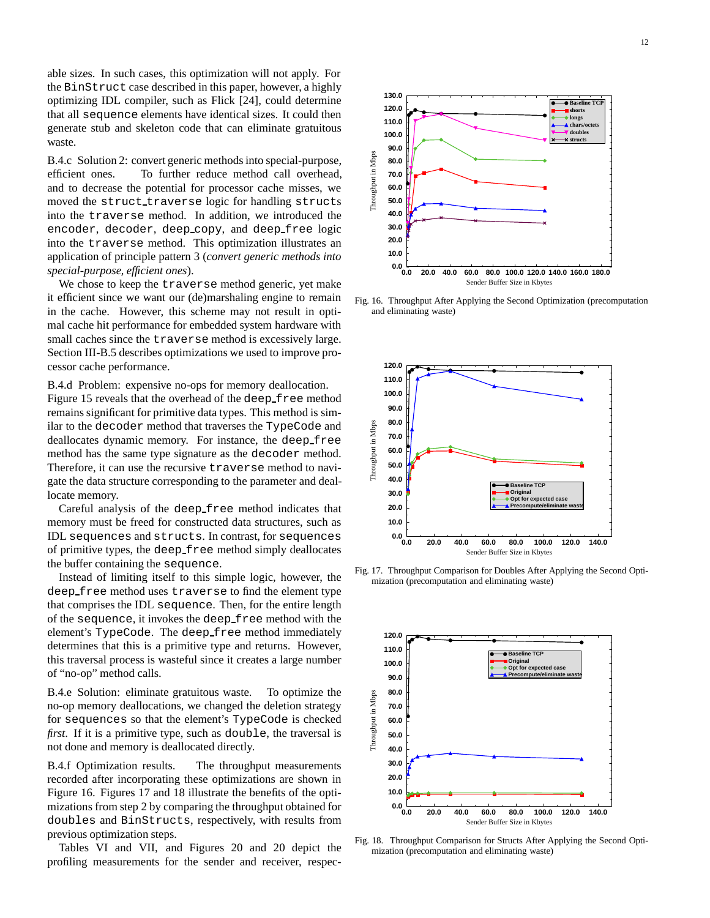able sizes. In such cases, this optimization will not apply. For the BinStruct case described in this paper, however, a highly optimizing IDL compiler, such as Flick [24], could determine that all sequence elements have identical sizes. It could then generate stub and skeleton code that can eliminate gratuitous waste.

B.4.c Solution 2: convert generic methods into special-purpose, efficient ones. To further reduce method call overhead, and to decrease the potential for processor cache misses, we moved the struct\_traverse logic for handling structs into the traverse method. In addition, we introduced the encoder, decoder, deep copy, and deep free logic into the traverse method. This optimization illustrates an application of principle pattern 3 (*convert generic methods into special-purpose, efficient ones*).

We chose to keep the traverse method generic, yet make it efficient since we want our (de)marshaling engine to remain in the cache. However, this scheme may not result in optimal cache hit performance for embedded system hardware with small caches since the traverse method is excessively large. Section III-B.5 describes optimizations we used to improve processor cache performance.

B.4.d Problem: expensive no-ops for memory deallocation.

Figure 15 reveals that the overhead of the deep free method remains significant for primitive data types. This method is similar to the decoder method that traverses the TypeCode and deallocates dynamic memory. For instance, the deep free method has the same type signature as the decoder method. Therefore, it can use the recursive traverse method to navigate the data structure corresponding to the parameter and deallocate memory.

Careful analysis of the deep free method indicates that memory must be freed for constructed data structures, such as IDL sequences and structs. In contrast, for sequences of primitive types, the deep free method simply deallocates the buffer containing the sequence.

Instead of limiting itself to this simple logic, however, the deep free method uses traverse to find the element type that comprises the IDL sequence. Then, for the entire length of the sequence, it invokes the deep free method with the element's TypeCode. The deep free method immediately determines that this is a primitive type and returns. However, this traversal process is wasteful since it creates a large number of "no-op" method calls.

B.4.e Solution: eliminate gratuitous waste. To optimize the no-op memory deallocations, we changed the deletion strategy for sequences so that the element's TypeCode is checked *first*. If it is a primitive type, such as double, the traversal is not done and memory is deallocated directly.

B.4.f Optimization results. The throughput measurements recorded after incorporating these optimizations are shown in Figure 16. Figures 17 and 18 illustrate the benefits of the optimizations from step 2 by comparing the throughput obtained for doubles and BinStructs, respectively, with results from previous optimization steps.

Tables VI and VII, and Figures 20 and 20 depict the profiling measurements for the sender and receiver, respec-



**110.0 120.0 130.0**

Fig. 16. Throughput After Applying the Second Optimization (precomputation and eliminating waste)



Fig. 17. Throughput Comparison for Doubles After Applying the Second Optimization (precomputation and eliminating waste)



Fig. 18. Throughput Comparison for Structs After Applying the Second Optimization (precomputation and eliminating waste)

**Baseline TCP shorts longs**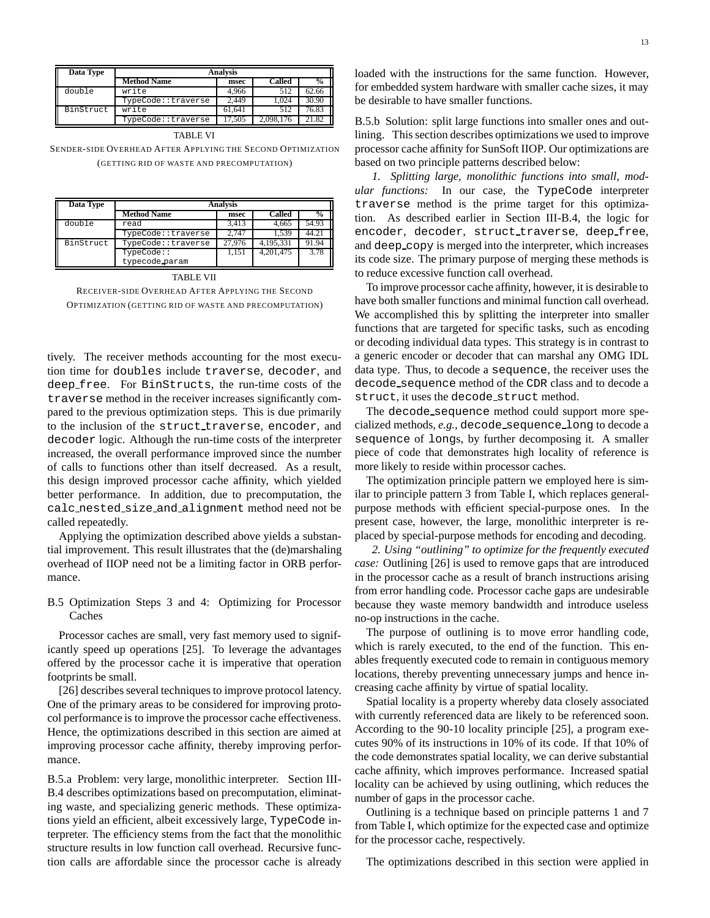| Data Type | <b>Analysis</b>    |        |        |       |
|-----------|--------------------|--------|--------|-------|
|           | Method Name        | msec   | `alled |       |
| double    | write              | 4.966  | 512    | 62.66 |
|           | TypeCode::traverse | 2.449  | .024   | 30.90 |
| BinStruct | write              | 61.641 | 512    | 76.83 |
|           | TypeCode::traverse |        |        |       |

TABLE VI SENDER-SIDE OVERHEAD AFTER APPLYING THE SECOND OPTIMIZATION (GETTING RID OF WASTE AND PRECOMPUTATION)

| Data Type | Analysis           |        |           |               |
|-----------|--------------------|--------|-----------|---------------|
|           | <b>Method Name</b> | msec   | Called    | $\frac{6}{9}$ |
| double    | read               | 3.413  | 4.665     | 54.93         |
|           | TypeCode::traverse | 2.747  | .539      |               |
| BinStruct | TypeCode::traverse | 27.976 | 4.195.331 | 91.94         |
|           | TypeCode::         | 1.151  | 4,201,475 | 3.78          |
|           | typecode param     |        |           |               |

TABLE VII RECEIVER-SIDE OVERHEAD AFTER APPLYING THE SECOND OPTIMIZATION (GETTING RID OF WASTE AND PRECOMPUTATION)

tively. The receiver methods accounting for the most execution time for doubles include traverse, decoder, and deep free. For BinStructs, the run-time costs of the traverse method in the receiver increases significantly compared to the previous optimization steps. This is due primarily to the inclusion of the struct\_traverse, encoder, and decoder logic. Although the run-time costs of the interpreter increased, the overall performance improved since the number of calls to functions other than itself decreased. As a result, this design improved processor cache affinity, which yielded better performance. In addition, due to precomputation, the calc nested size and alignment method need not be called repeatedly.

Applying the optimization described above yields a substantial improvement. This result illustrates that the (de)marshaling overhead of IIOP need not be a limiting factor in ORB performance.

## B.5 Optimization Steps 3 and 4: Optimizing for Processor Caches

Processor caches are small, very fast memory used to significantly speed up operations [25]. To leverage the advantages offered by the processor cache it is imperative that operation footprints be small.

[26] describes several techniques to improve protocol latency. One of the primary areas to be considered for improving protocol performance is to improve the processor cache effectiveness. Hence, the optimizations described in this section are aimed at improving processor cache affinity, thereby improving performance.

B.5.a Problem: very large, monolithic interpreter. Section III-B.4 describes optimizations based on precomputation, eliminating waste, and specializing generic methods. These optimizations yield an efficient, albeit excessively large, TypeCode interpreter. The efficiency stems from the fact that the monolithic structure results in low function call overhead. Recursive function calls are affordable since the processor cache is already

loaded with the instructions for the same function. However, for embedded system hardware with smaller cache sizes, it may be desirable to have smaller functions.

B.5.b Solution: split large functions into smaller ones and outlining. This section describes optimizations we used to improve processor cache affinity for SunSoft IIOP. Our optimizations are based on two principle patterns described below:

*1. Splitting large, monolithic functions into small, modular functions:* In our case, the TypeCode interpreter traverse method is the prime target for this optimization. As described earlier in Section III-B.4, the logic for encoder, decoder, struct\_traverse, deep\_free, and deep copy is merged into the interpreter, which increases its code size. The primary purpose of merging these methods is to reduce excessive function call overhead.

To improve processor cache affinity, however, it is desirable to have both smaller functions and minimal function call overhead. We accomplished this by splitting the interpreter into smaller functions that are targeted for specific tasks, such as encoding or decoding individual data types. This strategy is in contrast to a generic encoder or decoder that can marshal any OMG IDL data type. Thus, to decode a sequence, the receiver uses the decode sequence method of the CDR class and to decode a struct, it uses the decode struct method.

The decode sequence method could support more specialized methods, *e.g.,* decode sequence long to decode a sequence of longs, by further decomposing it. A smaller piece of code that demonstrates high locality of reference is more likely to reside within processor caches.

The optimization principle pattern we employed here is similar to principle pattern 3 from Table I, which replaces generalpurpose methods with efficient special-purpose ones. In the present case, however, the large, monolithic interpreter is replaced by special-purpose methods for encoding and decoding.

*2. Using "outlining" to optimize for the frequently executed case:* Outlining [26] is used to remove gaps that are introduced in the processor cache as a result of branch instructions arising from error handling code. Processor cache gaps are undesirable because they waste memory bandwidth and introduce useless no-op instructions in the cache.

The purpose of outlining is to move error handling code, which is rarely executed, to the end of the function. This enables frequently executed code to remain in contiguous memory locations, thereby preventing unnecessary jumps and hence increasing cache affinity by virtue of spatial locality.

Spatial locality is a property whereby data closely associated with currently referenced data are likely to be referenced soon. According to the 90-10 locality principle [25], a program executes 90% of its instructions in 10% of its code. If that 10% of the code demonstrates spatial locality, we can derive substantial cache affinity, which improves performance. Increased spatial locality can be achieved by using outlining, which reduces the number of gaps in the processor cache.

Outlining is a technique based on principle patterns 1 and 7 from Table I, which optimize for the expected case and optimize for the processor cache, respectively.

The optimizations described in this section were applied in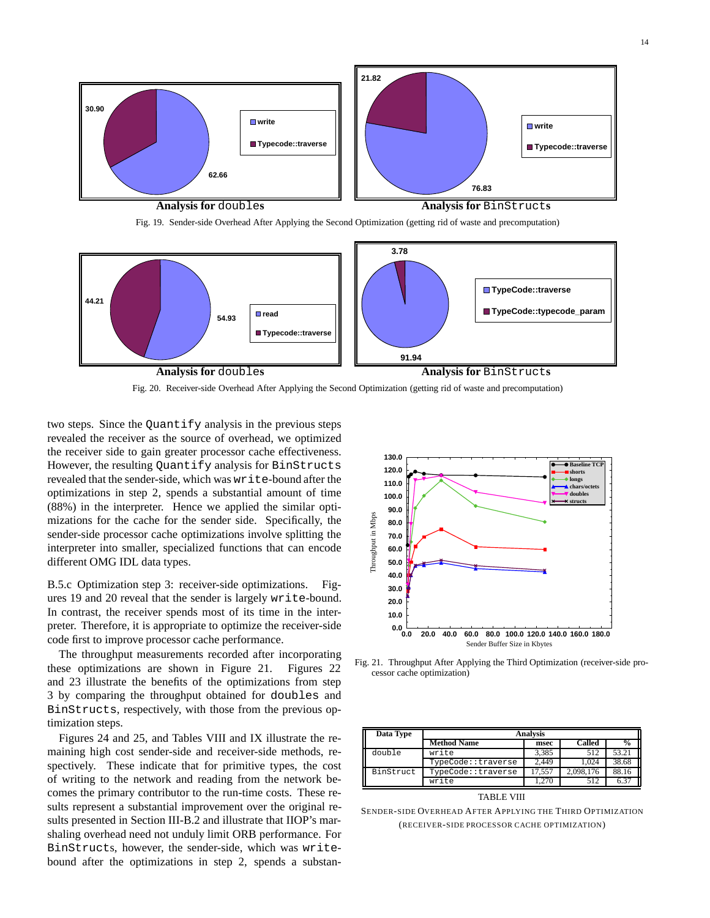

Fig. 19. Sender-side Overhead After Applying the Second Optimization (getting rid of waste and precomputation)



Fig. 20. Receiver-side Overhead After Applying the Second Optimization (getting rid of waste and precomputation)

two steps. Since the Quantify analysis in the previous steps revealed the receiver as the source of overhead, we optimized the receiver side to gain greater processor cache effectiveness. However, the resulting Quantify analysis for BinStructs revealed that the sender-side, which was write-bound after the optimizations in step 2, spends a substantial amount of time (88%) in the interpreter. Hence we applied the similar optimizations for the cache for the sender side. Specifically, the sender-side processor cache optimizations involve splitting the interpreter into smaller, specialized functions that can encode different OMG IDL data types.

B.5.c Optimization step 3: receiver-side optimizations. Figures 19 and 20 reveal that the sender is largely write-bound. In contrast, the receiver spends most of its time in the interpreter. Therefore, it is appropriate to optimize the receiver-side code first to improve processor cache performance.

The throughput measurements recorded after incorporating these optimizations are shown in Figure 21. Figures 22 and 23 illustrate the benefits of the optimizations from step 3 by comparing the throughput obtained for doubles and BinStructs, respectively, with those from the previous optimization steps.

Figures 24 and 25, and Tables VIII and IX illustrate the remaining high cost sender-side and receiver-side methods, respectively. These indicate that for primitive types, the cost of writing to the network and reading from the network becomes the primary contributor to the run-time costs. These results represent a substantial improvement over the original results presented in Section III-B.2 and illustrate that IIOP's marshaling overhead need not unduly limit ORB performance. For BinStructs, however, the sender-side, which was writebound after the optimizations in step 2, spends a substan-



Fig. 21. Throughput After Applying the Third Optimization (receiver-side processor cache optimization)

| Data Type | Analvsis           |        |           |               |
|-----------|--------------------|--------|-----------|---------------|
|           | <b>Method Name</b> | msec   | Called    | $\frac{0}{0}$ |
| double    | write              | 3.385  | 512       | 53.21         |
|           | TypeCode::traverse | 2.449  | .024      | 38.68         |
| BinStruct | TypeCode::traverse | 17.557 | 2.098.176 | 88.16         |
|           | write              | .270   | 512       | 6 3           |

### TABLE VIII

SENDER-SIDE OVERHEAD AFTER APPLYING THE THIRD OPTIMIZATION (RECEIVER-SIDE PROCESSOR CACHE OPTIMIZATION)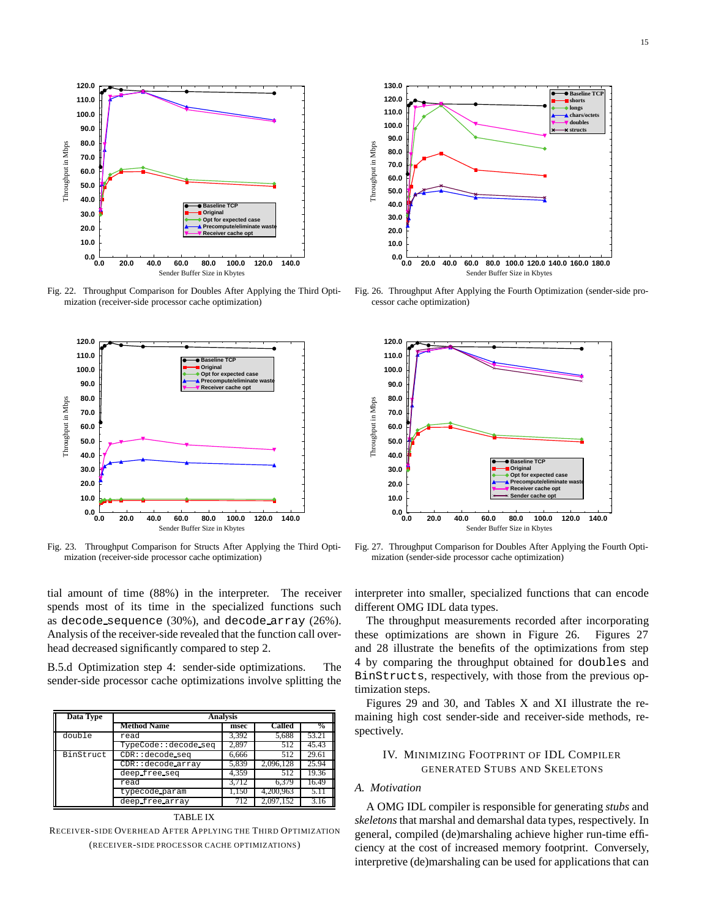

Fig. 22. Throughput Comparison for Doubles After Applying the Third Optimization (receiver-side processor cache optimization)



Fig. 23. Throughput Comparison for Structs After Applying the Third Optimization (receiver-side processor cache optimization)

tial amount of time (88%) in the interpreter. The receiver spends most of its time in the specialized functions such as decode sequence (30%), and decode array (26%). Analysis of the receiver-side revealed that the function call overhead decreased significantly compared to step 2.

B.5.d Optimization step 4: sender-side optimizations. The sender-side processor cache optimizations involve splitting the

| Data Type | <b>Analysis</b>      |       |           |               |
|-----------|----------------------|-------|-----------|---------------|
|           | <b>Method Name</b>   | msec  | Called    | $\frac{6}{9}$ |
| double    | read                 | 3.392 | 5.688     | 53.21         |
|           | TypeCode::decode_seq | 2.897 | 512       | 45.43         |
| BinStruct | CDF: decode, seq     | 6,666 | 512       | 29.61         |
|           | CDF: decode.array    | 5.839 | 2,096,128 | 25.94         |
|           | deep free seg        | 4.359 | 512       | 19.36         |
|           | read                 | 3.712 | 6.379     | 16.49         |
|           | typecode_param       | .150  | 4.200.963 | 51.           |
|           | deep free array      |       |           | 3.16          |

TABLE IX

RECEIVER-SIDE OVERHEAD AFTER APPLYING THE THIRD OPTIMIZATION (RECEIVER-SIDE PROCESSOR CACHE OPTIMIZATIONS)



Fig. 26. Throughput After Applying the Fourth Optimization (sender-side processor cache optimization)



Fig. 27. Throughput Comparison for Doubles After Applying the Fourth Optimization (sender-side processor cache optimization)

interpreter into smaller, specialized functions that can encode different OMG IDL data types.

The throughput measurements recorded after incorporating these optimizations are shown in Figure 26. Figures 27 and 28 illustrate the benefits of the optimizations from step 4 by comparing the throughput obtained for doubles and BinStructs, respectively, with those from the previous optimization steps.

Figures 29 and 30, and Tables X and XI illustrate the remaining high cost sender-side and receiver-side methods, respectively.

## IV. MINIMIZING FOOTPRINT OF IDL COMPILER GENERATED STUBS AND SKELETONS

## *A. Motivation*

A OMG IDL compiler is responsible for generating *stubs* and *skeletons* that marshal and demarshal data types, respectively. In general, compiled (de)marshaling achieve higher run-time efficiency at the cost of increased memory footprint. Conversely, interpretive (de)marshaling can be used for applications that can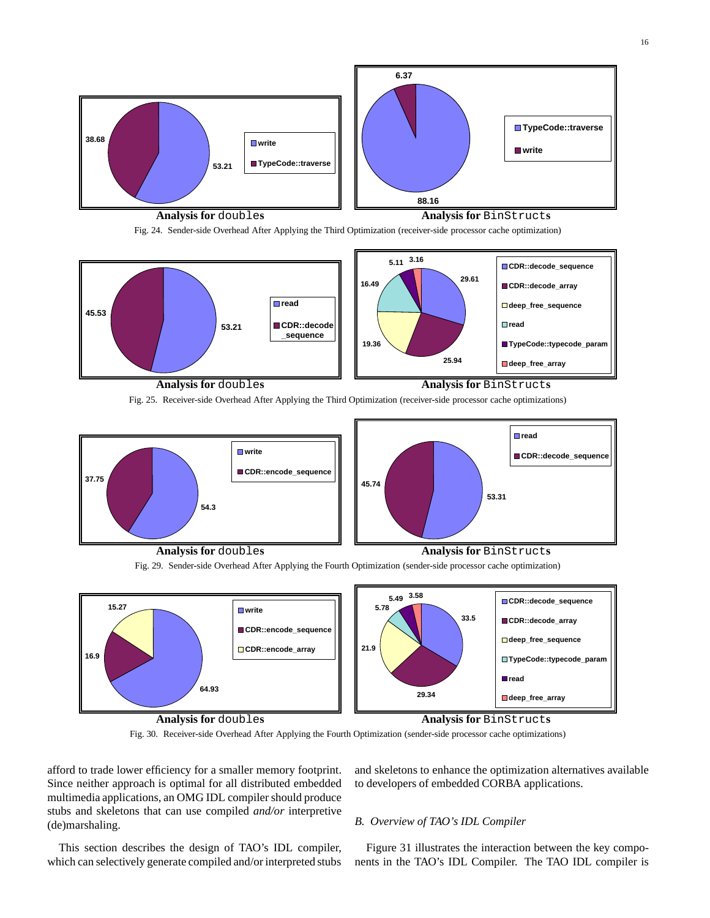





Fig. 25. Receiver-side Overhead After Applying the Third Optimization (receiver-side processor cache optimizations)



Fig. 29. Sender-side Overhead After Applying the Fourth Optimization (sender-side processor cache optimization)



## **Analysis for** double**s Analysis for** BinStruct**s**

Fig. 30. Receiver-side Overhead After Applying the Fourth Optimization (sender-side processor cache optimizations)

afford to trade lower efficiency for a smaller memory footprint. Since neither approach is optimal for all distributed embedded multimedia applications, an OMG IDL compiler should produce stubs and skeletons that can use compiled *and/or* interpretive (de)marshaling.

and skeletons to enhance the optimization alternatives available to developers of embedded CORBA applications.

## *B. Overview of TAO's IDL Compiler*

This section describes the design of TAO's IDL compiler, which can selectively generate compiled and/or interpreted stubs

Figure 31 illustrates the interaction between the key components in the TAO's IDL Compiler. The TAO IDL compiler is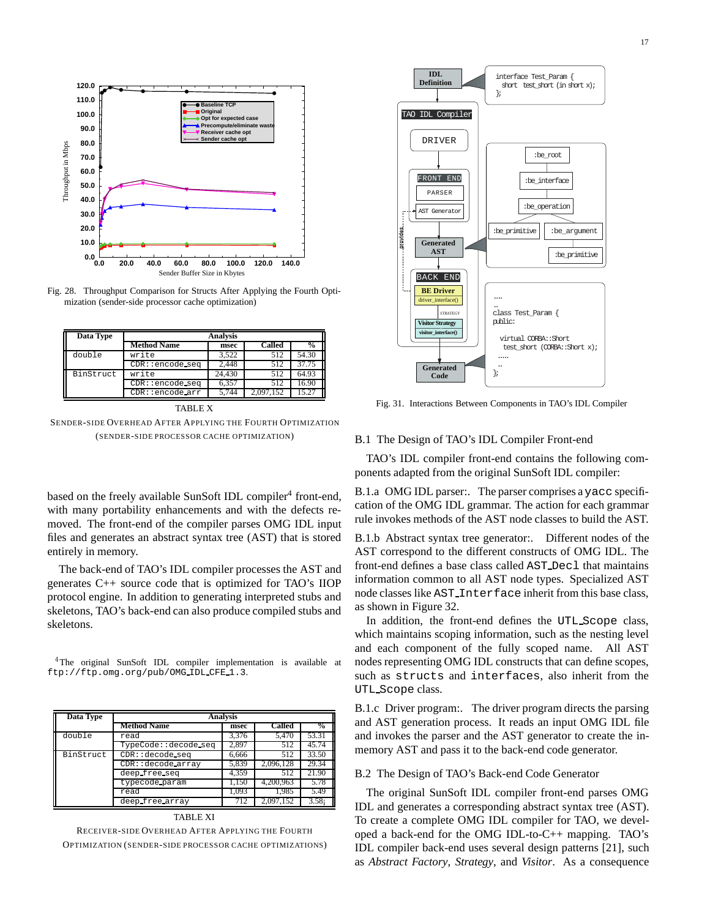

Fig. 28. Throughput Comparison for Structs After Applying the Fourth Optimization (sender-side processor cache optimization)

| Data Type | Analysis        |        |        |       |
|-----------|-----------------|--------|--------|-------|
|           | Method Name     | msec   | ∶alled |       |
| double    | write           | 3.522  | 512    | 54.30 |
|           | CDF:encode, seq | 2.448  | 512    | 37.75 |
| BinStruct | write           | 24.430 | 512    | 64.93 |
|           | CDF:encode, seq | 6.357  | 512    | 16.90 |
|           | CDF:encode arr  | 5.744  |        |       |

TABLE X SENDER-SIDE OVERHEAD AFTER APPLYING THE FOURTH OPTIMIZATION (SENDER-SIDE PROCESSOR CACHE OPTIMIZATION)

based on the freely available SunSoft IDL compiler<sup>4</sup> front-end, with many portability enhancements and with the defects removed. The front-end of the compiler parses OMG IDL input files and generates an abstract syntax tree (AST) that is stored entirely in memory.

The back-end of TAO's IDL compiler processes the AST and generates C++ source code that is optimized for TAO's IIOP protocol engine. In addition to generating interpreted stubs and skeletons, TAO's back-end can also produce compiled stubs and skeletons.

<sup>4</sup>The original SunSoft IDL compiler implementation is available at ftp://ftp.omg.org/pub/OMG IDL CFE 1.3.

| Data Type | <b>Analysis</b>      |       |           |               |
|-----------|----------------------|-------|-----------|---------------|
|           | <b>Method Name</b>   | msec  | Called    | $\frac{1}{2}$ |
| double    | read                 | 3.376 | 5.470     | 53.31         |
|           | TypeCode::decode_seq | 2.897 | 512       | 45.74         |
| BinStruct | CDF: decode, seq     | 6.666 | 512       | 33.50         |
|           | CDR::decode.array    | 5.839 | 2.096.128 | 29.34         |
|           | deep free seq        | 4.359 | 512       | 21.90         |
|           | typecode param       | 1.150 | 4,200,963 | 5.78          |
|           | read                 | 1.093 | .985      | 5.49          |
|           | deep free array      |       |           | 3.58i         |

TABLE XI RECEIVER-SIDE OVERHEAD AFTER APPLYING THE FOURTH OPTIMIZATION (SENDER-SIDE PROCESSOR CACHE OPTIMIZATIONS)



Fig. 31. Interactions Between Components in TAO's IDL Compiler

## B.1 The Design of TAO's IDL Compiler Front-end

TAO's IDL compiler front-end contains the following components adapted from the original SunSoft IDL compiler:

B.1.a OMG IDL parser:. The parser comprises ayacc specification of the OMG IDL grammar. The action for each grammar rule invokes methods of the AST node classes to build the AST.

B.1.b Abstract syntax tree generator:. Different nodes of the AST correspond to the different constructs of OMG IDL. The front-end defines a base class called AST Decl that maintains information common to all AST node types. Specialized AST node classes like AST Interface inherit from this base class, as shown in Figure 32.

In addition, the front-end defines the UTL Scope class, which maintains scoping information, such as the nesting level and each component of the fully scoped name. All AST nodes representing OMG IDL constructs that can define scopes, such as structs and interfaces, also inherit from the UTL Scope class.

B.1.c Driver program:. The driver program directs the parsing and AST generation process. It reads an input OMG IDL file and invokes the parser and the AST generator to create the inmemory AST and pass it to the back-end code generator.

## B.2 The Design of TAO's Back-end Code Generator

The original SunSoft IDL compiler front-end parses OMG IDL and generates a corresponding abstract syntax tree (AST). To create a complete OMG IDL compiler for TAO, we developed a back-end for the OMG IDL-to-C++ mapping. TAO's IDL compiler back-end uses several design patterns [21], such as *Abstract Factory*, *Strategy*, and *Visitor*. As a consequence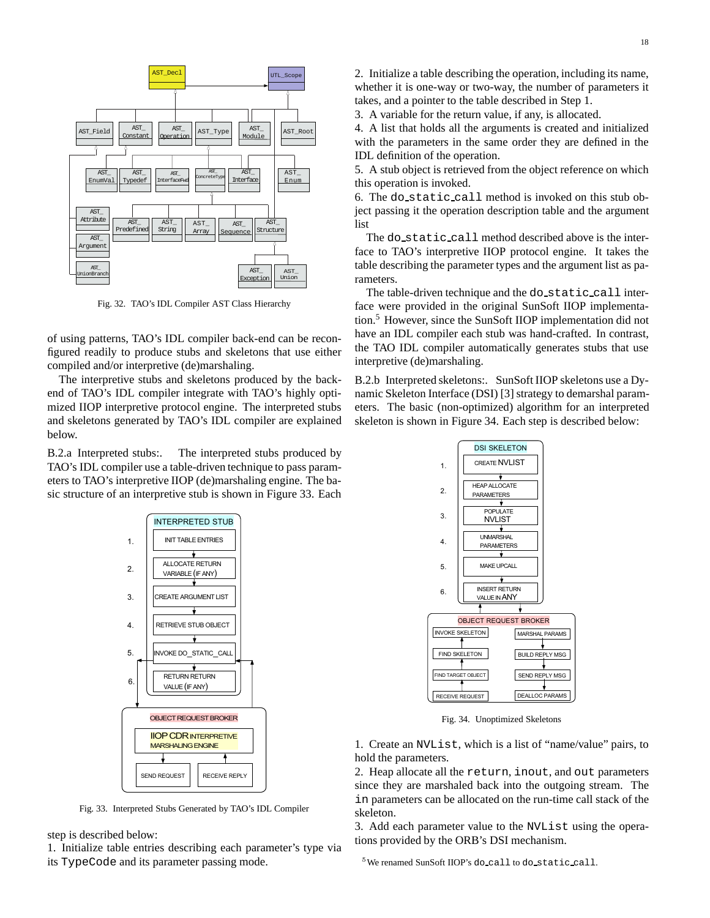

Fig. 32. TAO's IDL Compiler AST Class Hierarchy

of using patterns, TAO's IDL compiler back-end can be reconfigured readily to produce stubs and skeletons that use either compiled and/or interpretive (de)marshaling.

The interpretive stubs and skeletons produced by the backend of TAO's IDL compiler integrate with TAO's highly optimized IIOP interpretive protocol engine. The interpreted stubs and skeletons generated by TAO's IDL compiler are explained below.

B.2.a Interpreted stubs:. The interpreted stubs produced by TAO's IDL compiler use a table-driven technique to pass parameters to TAO's interpretive IIOP (de)marshaling engine. The basic structure of an interpretive stub is shown in Figure 33. Each



Fig. 33. Interpreted Stubs Generated by TAO's IDL Compiler

step is described below:

1. Initialize table entries describing each parameter's type via its TypeCode and its parameter passing mode.

2. Initialize a table describing the operation, including its name, whether it is one-way or two-way, the number of parameters it takes, and a pointer to the table described in Step 1.

3. A variable for the return value, if any, is allocated.

4. A list that holds all the arguments is created and initialized with the parameters in the same order they are defined in the IDL definition of the operation.

5. A stub object is retrieved from the object reference on which this operation is invoked.

6. The do static call method is invoked on this stub object passing it the operation description table and the argument list

The do\_static\_call method described above is the interface to TAO's interpretive IIOP protocol engine. It takes the table describing the parameter types and the argument list as parameters.

The table-driven technique and the do static call interface were provided in the original SunSoft IIOP implementation.<sup>5</sup> However, since the SunSoft IIOP implementation did not have an IDL compiler each stub was hand-crafted. In contrast, the TAO IDL compiler automatically generates stubs that use interpretive (de)marshaling.

B.2.b Interpreted skeletons:. SunSoft IIOP skeletons use a Dynamic Skeleton Interface (DSI) [3] strategy to demarshal parameters. The basic (non-optimized) algorithm for an interpreted skeleton is shown in Figure 34. Each step is described below:



Fig. 34. Unoptimized Skeletons

1. Create an NVList, which is a list of "name/value" pairs, to hold the parameters.

2. Heap allocate all the return, inout, and out parameters since they are marshaled back into the outgoing stream. The in parameters can be allocated on the run-time call stack of the skeleton.

3. Add each parameter value to the NVList using the operations provided by the ORB's DSI mechanism.

<sup>&</sup>lt;sup>5</sup>We renamed SunSoft IIOP's do\_call to do\_static\_call.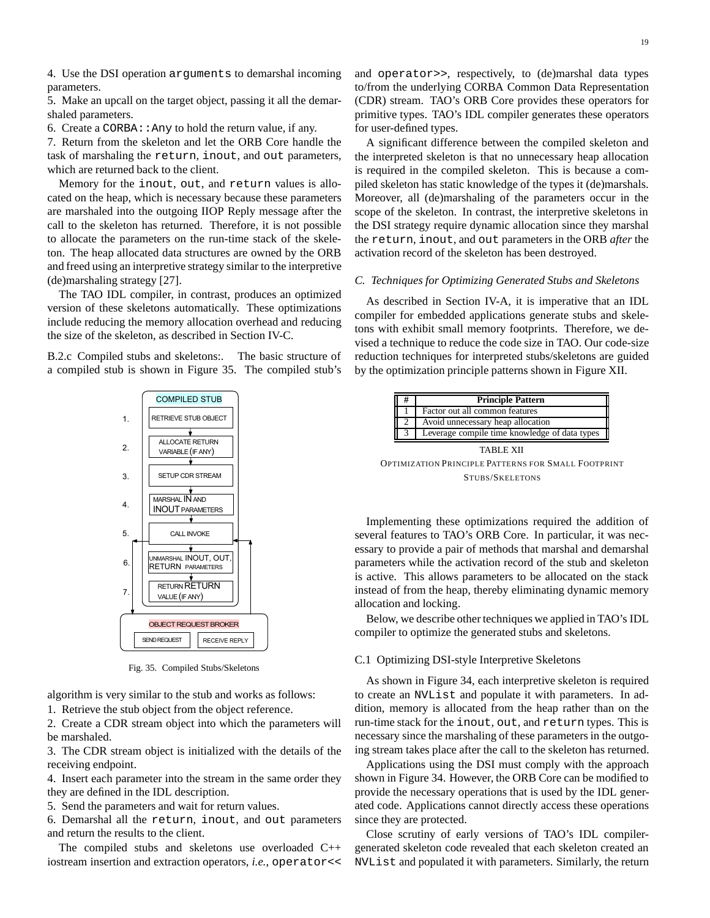4. Use the DSI operation arguments to demarshal incoming parameters.

5. Make an upcall on the target object, passing it all the demarshaled parameters.

6. Create a CORBA:  $:$  Any to hold the return value, if any.

7. Return from the skeleton and let the ORB Core handle the task of marshaling the return, inout, and out parameters, which are returned back to the client.

Memory for the inout, out, and return values is allocated on the heap, which is necessary because these parameters are marshaled into the outgoing IIOP Reply message after the call to the skeleton has returned. Therefore, it is not possible to allocate the parameters on the run-time stack of the skeleton. The heap allocated data structures are owned by the ORB and freed using an interpretive strategy similar to the interpretive (de)marshaling strategy [27].

The TAO IDL compiler, in contrast, produces an optimized version of these skeletons automatically. These optimizations include reducing the memory allocation overhead and reducing the size of the skeleton, as described in Section IV-C.

B.2.c Compiled stubs and skeletons:. The basic structure of a compiled stub is shown in Figure 35. The compiled stub's



Fig. 35. Compiled Stubs/Skeletons

algorithm is very similar to the stub and works as follows:

1. Retrieve the stub object from the object reference.

2. Create a CDR stream object into which the parameters will be marshaled.

3. The CDR stream object is initialized with the details of the receiving endpoint.

4. Insert each parameter into the stream in the same order they they are defined in the IDL description.

5. Send the parameters and wait for return values.

6. Demarshal all the return, inout, and out parameters and return the results to the client.

The compiled stubs and skeletons use overloaded C++ iostream insertion and extraction operators, *i.e.*, operator<< and operator>>, respectively, to (de)marshal data types to/from the underlying CORBA Common Data Representation (CDR) stream. TAO's ORB Core provides these operators for primitive types. TAO's IDL compiler generates these operators for user-defined types.

A significant difference between the compiled skeleton and the interpreted skeleton is that no unnecessary heap allocation is required in the compiled skeleton. This is because a compiled skeleton has static knowledge of the types it (de)marshals. Moreover, all (de)marshaling of the parameters occur in the scope of the skeleton. In contrast, the interpretive skeletons in the DSI strategy require dynamic allocation since they marshal the return, inout, and out parameters in the ORB *after* the activation record of the skeleton has been destroyed.

## *C. Techniques for Optimizing Generated Stubs and Skeletons*

As described in Section IV-A, it is imperative that an IDL compiler for embedded applications generate stubs and skeletons with exhibit small memory footprints. Therefore, we devised a technique to reduce the code size in TAO. Our code-size reduction techniques for interpreted stubs/skeletons are guided by the optimization principle patterns shown in Figure XII.

|  | <b>Principle Pattern</b>                      |  |
|--|-----------------------------------------------|--|
|  | Factor out all common features                |  |
|  | Avoid unnecessary heap allocation             |  |
|  | Leverage compile time knowledge of data types |  |

TABLE XII OPTIMIZATION PRINCIPLE PATTERNS FOR SMALL FOOTPRINT STUBS/SKELETONS

Implementing these optimizations required the addition of several features to TAO's ORB Core. In particular, it was necessary to provide a pair of methods that marshal and demarshal parameters while the activation record of the stub and skeleton is active. This allows parameters to be allocated on the stack instead of from the heap, thereby eliminating dynamic memory allocation and locking.

Below, we describe other techniques we applied in TAO's IDL compiler to optimize the generated stubs and skeletons.

### C.1 Optimizing DSI-style Interpretive Skeletons

As shown in Figure 34, each interpretive skeleton is required to create an NVList and populate it with parameters. In addition, memory is allocated from the heap rather than on the run-time stack for the inout, out, and return types. This is necessary since the marshaling of these parameters in the outgoing stream takes place after the call to the skeleton has returned.

Applications using the DSI must comply with the approach shown in Figure 34. However, the ORB Core can be modified to provide the necessary operations that is used by the IDL generated code. Applications cannot directly access these operations since they are protected.

Close scrutiny of early versions of TAO's IDL compilergenerated skeleton code revealed that each skeleton created an NVList and populated it with parameters. Similarly, the return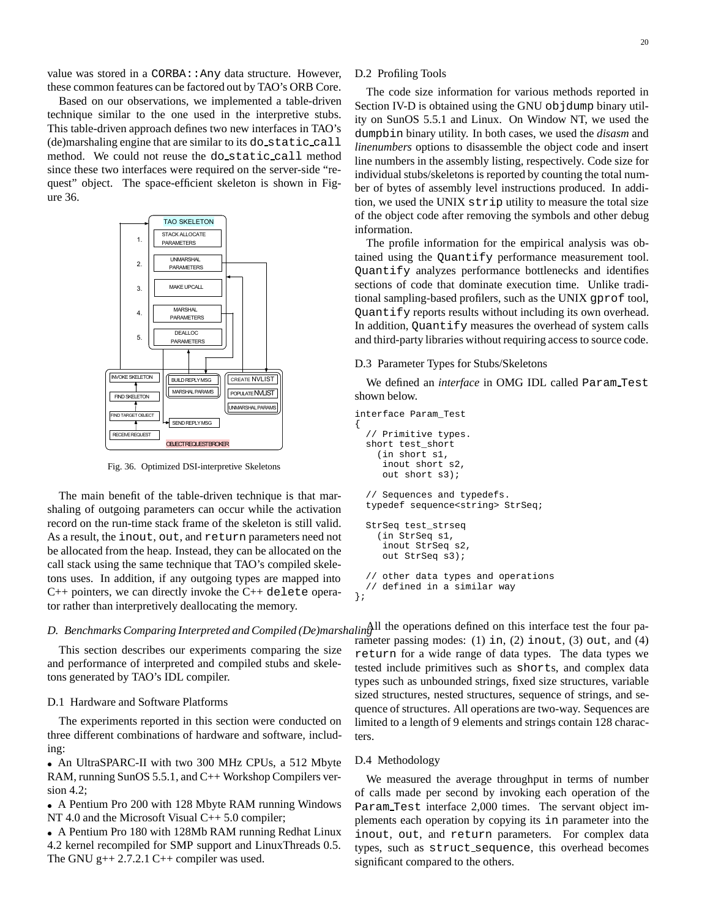value was stored in a CORBA: : Any data structure. However, these common features can be factored out by TAO's ORB Core.

Based on our observations, we implemented a table-driven technique similar to the one used in the interpretive stubs. This table-driven approach defines two new interfaces in TAO's (de)marshaling engine that are similar to its do static call method. We could not reuse the do\_static\_call method since these two interfaces were required on the server-side "request" object. The space-efficient skeleton is shown in Figure 36.



Fig. 36. Optimized DSI-interpretive Skeletons

The main benefit of the table-driven technique is that marshaling of outgoing parameters can occur while the activation record on the run-time stack frame of the skeleton is still valid. As a result, the inout, out, and return parameters need not be allocated from the heap. Instead, they can be allocated on the call stack using the same technique that TAO's compiled skeletons uses. In addition, if any outgoing types are mapped into  $C_{++}$  pointers, we can directly invoke the  $C_{++}$  delete operator rather than interpretively deallocating the memory.

This section describes our experiments comparing the size and performance of interpreted and compiled stubs and skeletons generated by TAO's IDL compiler.

### D.1 Hardware and Software Platforms

The experiments reported in this section were conducted on three different combinations of hardware and software, including:

• An UltraSPARC-II with two 300 MHz CPUs, a 512 Mbyte RAM, running SunOS 5.5.1, and C++ Workshop Compilers version 4.2;

 A Pentium Pro 200 with 128 Mbyte RAM running Windows NT 4.0 and the Microsoft Visual C++ 5.0 compiler;

 A Pentium Pro 180 with 128Mb RAM running Redhat Linux 4.2 kernel recompiled for SMP support and LinuxThreads 0.5. The GNU  $g++ 2.7.2.1$  C++ compiler was used.

### D.2 Profiling Tools

The code size information for various methods reported in Section IV-D is obtained using the GNU objdump binary utility on SunOS 5.5.1 and Linux. On Window NT, we used the dumpbin binary utility. In both cases, we used the *disasm* and *linenumbers* options to disassemble the object code and insert line numbers in the assembly listing, respectively. Code size for individual stubs/skeletons is reported by counting the total number of bytes of assembly level instructions produced. In addition, we used the UNIX strip utility to measure the total size of the object code after removing the symbols and other debug information.

The profile information for the empirical analysis was obtained using the Quantify performance measurement tool. Quantify analyzes performance bottlenecks and identifies sections of code that dominate execution time. Unlike traditional sampling-based profilers, such as the UNIX gprof tool, Quantify reports results without including its own overhead. In addition, Quantify measures the overhead of system calls and third-party libraries without requiring access to source code.

## D.3 Parameter Types for Stubs/Skeletons

We defined an *interface* in OMG IDL called Param Test shown below.

```
interface Param_Test
{
  // Primitive types.
 short test_short
    (in short s1,
     inout short s2,
    out short s3);
  // Sequences and typedefs.
 typedef sequence<string> StrSeq;
 StrSeq test_strseq
    (in StrSeq s1,
    inout StrSeq s2,
    out StrSeq s3);
  // other data types and operations
  // defined in a similar way
};
```
*D. Benchmarks Comparing Interpreted and Compiled (De)marshaling* All the operations defined on this interface test the four parameter passing modes:  $(1)$  in,  $(2)$  inout,  $(3)$  out, and  $(4)$ return for a wide range of data types. The data types we tested include primitives such as shorts, and complex data types such as unbounded strings, fixed size structures, variable sized structures, nested structures, sequence of strings, and sequence of structures. All operations are two-way. Sequences are limited to a length of 9 elements and strings contain 128 characters.

### D.4 Methodology

We measured the average throughput in terms of number of calls made per second by invoking each operation of the Param Test interface 2,000 times. The servant object implements each operation by copying its in parameter into the inout, out, and return parameters. For complex data types, such as struct sequence, this overhead becomes significant compared to the others.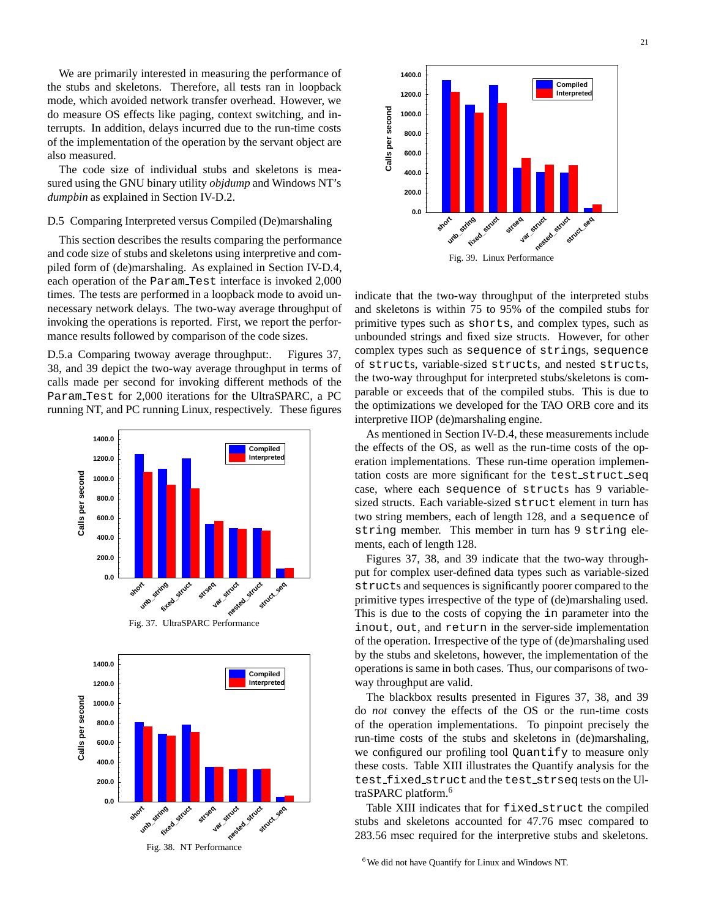We are primarily interested in measuring the performance of the stubs and skeletons. Therefore, all tests ran in loopback mode, which avoided network transfer overhead. However, we do measure OS effects like paging, context switching, and interrupts. In addition, delays incurred due to the run-time costs of the implementation of the operation by the servant object are also measured.

The code size of individual stubs and skeletons is measured using the GNU binary utility *objdump* and Windows NT's *dumpbin* as explained in Section IV-D.2.

## D.5 Comparing Interpreted versus Compiled (De)marshaling

This section describes the results comparing the performance and code size of stubs and skeletons using interpretive and compiled form of (de)marshaling. As explained in Section IV-D.4, each operation of the Param Test interface is invoked 2,000 times. The tests are performed in a loopback mode to avoid unnecessary network delays. The two-way average throughput of invoking the operations is reported. First, we report the performance results followed by comparison of the code sizes.

D.5.a Comparing twoway average throughput:. Figures 37, 38, and 39 depict the two-way average throughput in terms of calls made per second for invoking different methods of the Param Test for 2,000 iterations for the UltraSPARC, a PC running NT, and PC running Linux, respectively. These figures



Fig. 38. NT Performance





indicate that the two-way throughput of the interpreted stubs and skeletons is within 75 to 95% of the compiled stubs for primitive types such as shorts, and complex types, such as unbounded strings and fixed size structs. However, for other complex types such as sequence of strings, sequence of structs, variable-sized structs, and nested structs, the two-way throughput for interpreted stubs/skeletons is comparable or exceeds that of the compiled stubs. This is due to the optimizations we developed for the TAO ORB core and its interpretive IIOP (de)marshaling engine.

As mentioned in Section IV-D.4, these measurements include the effects of the OS, as well as the run-time costs of the operation implementations. These run-time operation implementation costs are more significant for the test struct seq case, where each sequence of structs has 9 variablesized structs. Each variable-sized struct element in turn has two string members, each of length 128, and a sequence of string member. This member in turn has 9 string elements, each of length 128.

Figures 37, 38, and 39 indicate that the two-way throughput for complex user-defined data types such as variable-sized structs and sequences is significantly poorer compared to the primitive types irrespective of the type of (de)marshaling used. This is due to the costs of copying the in parameter into the inout, out, and return in the server-side implementation of the operation. Irrespective of the type of (de)marshaling used by the stubs and skeletons, however, the implementation of the operations is same in both cases. Thus, our comparisons of twoway throughput are valid.

The blackbox results presented in Figures 37, 38, and 39 do *not* convey the effects of the OS or the run-time costs of the operation implementations. To pinpoint precisely the run-time costs of the stubs and skeletons in (de)marshaling, we configured our profiling tool Quantify to measure only these costs. Table XIII illustrates the Quantify analysis for the test fixed struct and the test strseq tests on the UltraSPARC platform.<sup>6</sup>

Table XIII indicates that for fixed struct the compiled stubs and skeletons accounted for 47.76 msec compared to 283.56 msec required for the interpretive stubs and skeletons.

<sup>&</sup>lt;sup>6</sup>We did not have Quantify for Linux and Windows NT.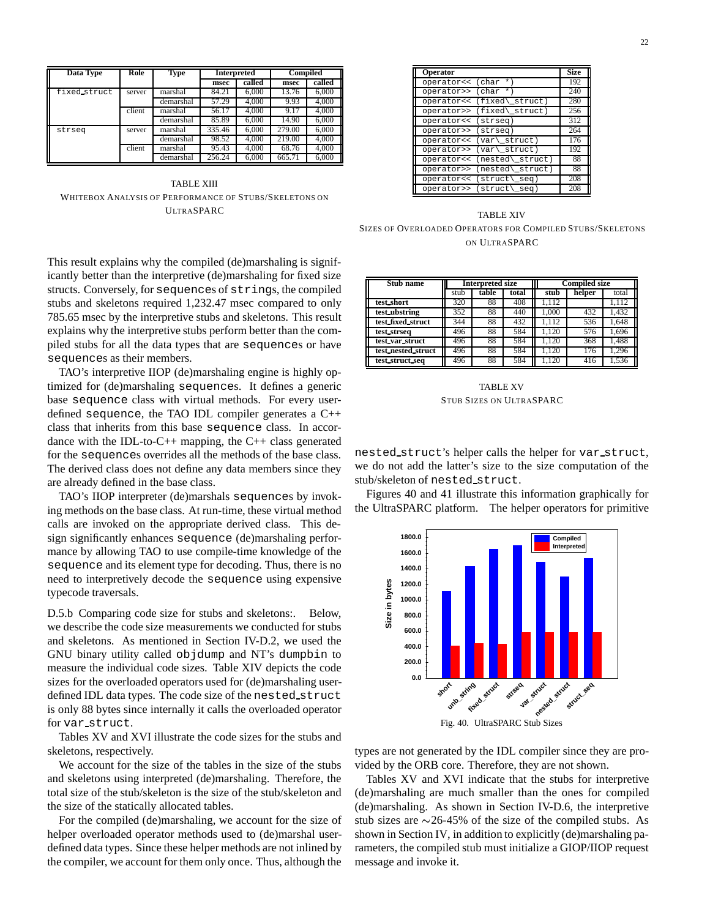| Data Type    | Role   | <b>Type</b> | <b>Interpreted</b> |        | Compiled |        |
|--------------|--------|-------------|--------------------|--------|----------|--------|
|              |        |             | msec               | called | msec     | called |
| fixed_struct | server | marshal     | 84.21              | 6,000  | 13.76    | 6,000  |
|              |        | demarshal   | 57.29              | 4.000  | 9.93     | 4.000  |
|              | client | marshal     | 56.17              | 4.000  | 9.17     | 4.000  |
|              |        | demarshal   | 85.89              | 6.000  | 14.90    | 6,000  |
| strseq       | server | marshal     | 335.46             | 6.000  | 279.00   | 6,000  |
|              |        | demarshal   | 98.52              | 4.000  | 219.00   | 4.000  |
|              | client | marshal     | 95.43              | 4.000  | 68.76    | 4.000  |
|              |        | demarshal   | 256.24             | 6.000  | 665.71   | 6.000  |

TABLE XIII WHITEBOX ANALYSIS OF PERFORMANCE OF STUBS/SKELETONS ON ULTRASPARC

| <b>Operator</b>   |                             | <b>Size</b> |
|-------------------|-----------------------------|-------------|
| operator << (char | $*$ )                       | 192         |
| operator>>        | (char<br>$*$ )              | 240         |
| operator<<        | (fixed\_struct)             | 280         |
| operator>>        | (fixed\ struct)             | 256         |
| operator<<        | $(s\text{trseq})$           | 312         |
| operator>>        | $(s\text{trseq})$           | 264         |
| operator<<        | $\{\texttt{var}\}\$ struct) | 176         |
| operator>>        | $\{\texttt{var}\}\$ struct) | 192         |
| operator<<        | $(nested\; struct)$         | 88          |
| operator>>        | $(nested\; struct)$         | 88          |
|                   | operator<< (struct\ seq)    | 208         |
|                   | operator>> (struct\ seq)    | 208         |

TABLE XIV SIZES OF OVERLOADED OPERATORS FOR COMPILED STUBS/SKELETONS ON ULTRASPARC

| Stub name          | <b>Interpreted size</b> |       |       | <b>Compiled size</b> |        |       |
|--------------------|-------------------------|-------|-------|----------------------|--------|-------|
|                    | stub                    | table | total | stub                 | helper | total |
| test_short         | 320                     | 88    | 408   | 1.112                |        | 1.112 |
| test ubstring      | 352                     | 88    | 440   | 1.000                | 432    | 1.432 |
| test_fixed_struct  | 344                     | 88    | 432   | 1.112                | 536    | 1.648 |
| test_strseq        | 496                     | 88    | 584   | 1.120                | 576    | 1.696 |
| test var struct    | 496                     | 88    | 584   | 1.120                | 368    | 1,488 |
| test_nested_struct | 496                     | 88    | 584   | 1.120                | 176    | 1.296 |
| test struct seq    | 496                     | 88    | 584   | 1.120                | 416    | 1.536 |

TABLE XV STUB SIZES ON ULTRASPARC

nested struct's helper calls the helper for var struct, we do not add the latter's size to the size computation of the stub/skeleton of nested struct.

Figures 40 and 41 illustrate this information graphically for the UltraSPARC platform. The helper operators for primitive



types are not generated by the IDL compiler since they are provided by the ORB core. Therefore, they are not shown.

Tables XV and XVI indicate that the stubs for interpretive (de)marshaling are much smaller than the ones for compiled (de)marshaling. As shown in Section IV-D.6, the interpretive stub sizes are  $\sim$ 26-45% of the size of the compiled stubs. As shown in Section IV, in addition to explicitly (de)marshaling parameters, the compiled stub must initialize a GIOP/IIOP request message and invoke it.

This result explains why the compiled (de)marshaling is significantly better than the interpretive (de)marshaling for fixed size structs. Conversely, for sequences of strings, the compiled stubs and skeletons required 1,232.47 msec compared to only 785.65 msec by the interpretive stubs and skeletons. This result explains why the interpretive stubs perform better than the compiled stubs for all the data types that are sequences or have sequences as their members.

TAO's interpretive IIOP (de)marshaling engine is highly optimized for (de)marshaling sequences. It defines a generic base sequence class with virtual methods. For every userdefined sequence, the TAO IDL compiler generates a C++ class that inherits from this base sequence class. In accordance with the IDL-to-C++ mapping, the  $C++$  class generated for the sequences overrides all the methods of the base class. The derived class does not define any data members since they are already defined in the base class.

TAO's IIOP interpreter (de)marshals sequences by invoking methods on the base class. At run-time, these virtual method calls are invoked on the appropriate derived class. This design significantly enhances sequence (de)marshaling performance by allowing TAO to use compile-time knowledge of the sequence and its element type for decoding. Thus, there is no need to interpretively decode the sequence using expensive typecode traversals.

D.5.b Comparing code size for stubs and skeletons:. Below, we describe the code size measurements we conducted for stubs and skeletons. As mentioned in Section IV-D.2, we used the GNU binary utility called objdump and NT's dumpbin to measure the individual code sizes. Table XIV depicts the code sizes for the overloaded operators used for (de)marshaling userdefined IDL data types. The code size of the nested\_struct is only 88 bytes since internally it calls the overloaded operator for var\_struct.

Tables XV and XVI illustrate the code sizes for the stubs and skeletons, respectively.

We account for the size of the tables in the size of the stubs and skeletons using interpreted (de)marshaling. Therefore, the total size of the stub/skeleton is the size of the stub/skeleton and the size of the statically allocated tables.

For the compiled (de)marshaling, we account for the size of helper overloaded operator methods used to (de)marshal userdefined data types. Since these helper methods are not inlined by the compiler, we account for them only once. Thus, although the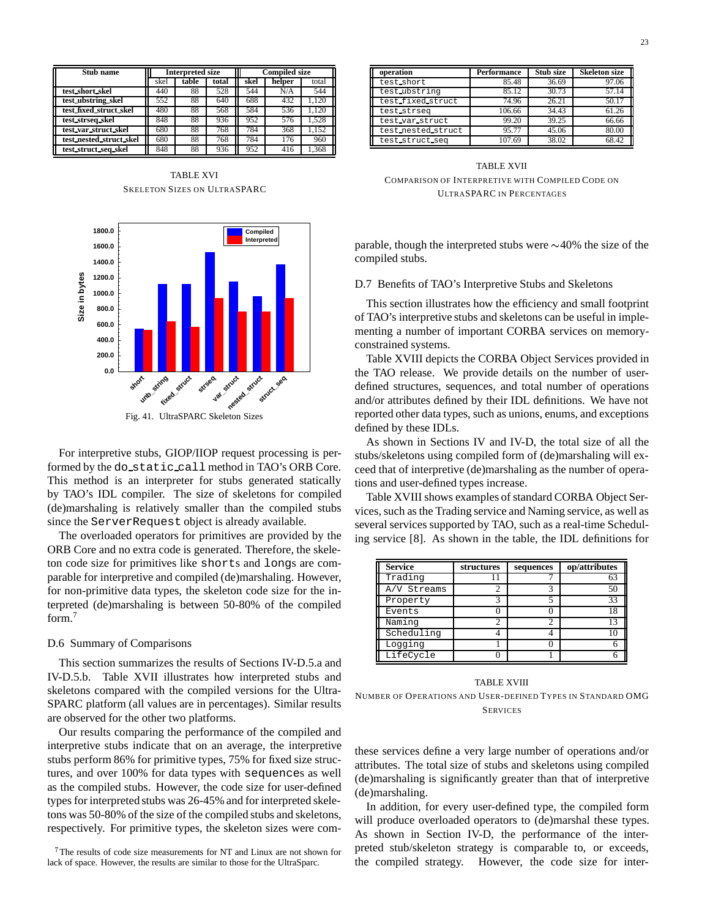| Stub name               | <b>Interpreted size</b> |       |       | <b>Compiled size</b> |        |       |
|-------------------------|-------------------------|-------|-------|----------------------|--------|-------|
|                         | skel                    | table | total | skel                 | helper | total |
| test_short_skel         | 440                     | 88    | 528   | 544                  | N/A    | 544   |
| test ubstring skel      | 552                     | 88    | 640   | 688                  | 432    | 1.120 |
| test_fixed_struct_skel  | 480                     | 88    | 568   | 584                  | 536    | 1.120 |
| test strseq skel        | 848                     | 88    | 936   | 952                  | 576    | 1.528 |
| test_var_struct_skel    | 680                     | 88    | 768   | 784                  | 368    | .152  |
| test_nested_struct_skel | 680                     | 88    | 768   | 784                  | 176    | 960   |
| test_struct_seq_skel    | 848                     | 88    | 936   | 952                  | 416    | .368  |

TABLE XVI SKELETON SIZES ON ULTRASPARC



Fig. 41. UltraSPARC Skeleton Sizes

For interpretive stubs, GIOP/IIOP request processing is performed by the do static call method in TAO's ORB Core. This method is an interpreter for stubs generated statically by TAO's IDL compiler. The size of skeletons for compiled (de)marshaling is relatively smaller than the compiled stubs since the ServerRequest object is already available.

The overloaded operators for primitives are provided by the ORB Core and no extra code is generated. Therefore, the skeleton code size for primitives like shorts and longs are comparable for interpretive and compiled (de)marshaling. However, for non-primitive data types, the skeleton code size for the interpreted (de)marshaling is between 50-80% of the compiled form.<sup>7</sup>

## D.6 Summary of Comparisons

This section summarizes the results of Sections IV-D.5.a and IV-D.5.b. Table XVII illustrates how interpreted stubs and skeletons compared with the compiled versions for the Ultra-SPARC platform (all values are in percentages). Similar results are observed for the other two platforms.

Our results comparing the performance of the compiled and interpretive stubs indicate that on an average, the interpretive stubs perform 86% for primitive types, 75% for fixed size structures, and over 100% for data types with sequences as well as the compiled stubs. However, the code size for user-defined types for interpreted stubs was 26-45% and for interpreted skeletons was 50-80% of the size of the compiled stubs and skeletons, respectively. For primitive types, the skeleton sizes were com-

| operation          | <b>Performance</b> | <b>Stub size</b> | <b>Skeleton size</b> |
|--------------------|--------------------|------------------|----------------------|
| test short         | 85.48              | 36.69            | 97.06                |
| test_ubstring      | 85.12              | 30.73            | 57.14                |
| test fixed struct  | 74.96              | 26.21            | 50.17                |
| test strseq        | 106.66             | 34.43            | 61.26                |
| test_var_struct    | 99.20              | 39.25            | 66.66                |
| test nested struct | 95.77              | 45.06            | 80.00                |
| test struct seq    | 107.69             | 38.02            | 68.42                |

TABLE XVII COMPARISON OF INTERPRETIVE WITH COMPILED CODE ON ULTRASPARC IN PERCENTAGES

parable, though the interpreted stubs were  $\sim$ 40% the size of the compiled stubs.

### D.7 Benefits of TAO's Interpretive Stubs and Skeletons

This section illustrates how the efficiency and small footprint of TAO's interpretive stubs and skeletons can be useful in implementing a number of important CORBA services on memoryconstrained systems.

Table XVIII depicts the CORBA Object Services provided in the TAO release. We provide details on the number of userdefined structures, sequences, and total number of operations and/or attributes defined by their IDL definitions. We have not reported other data types, such as unions, enums, and exceptions defined by these IDLs.

As shown in Sections IV and IV-D, the total size of all the stubs/skeletons using compiled form of (de)marshaling will exceed that of interpretive (de)marshaling as the number of operations and user-defined types increase.

Table XVIII shows examples of standard CORBA Object Services, such as the Trading service and Naming service, as well as several services supported by TAO, such as a real-time Scheduling service [8]. As shown in the table, the IDL definitions for

| <b>Service</b> | structures | sequences | op/attributes |
|----------------|------------|-----------|---------------|
| Trading        |            |           |               |
| A/V Streams    |            |           | 50            |
| Property       |            |           | 33            |
| Events         |            |           |               |
| Naming         |            |           |               |
| Scheduling     |            |           |               |
| Logging        |            |           |               |
| LifeCycle      |            |           |               |

TABLE XVIII NUMBER OF OPERATIONS AND USER-DEFINED TYPES IN STANDARD OMG **SERVICES** 

these services define a very large number of operations and/or attributes. The total size of stubs and skeletons using compiled (de)marshaling is significantly greater than that of interpretive (de)marshaling.

In addition, for every user-defined type, the compiled form will produce overloaded operators to (de)marshal these types. As shown in Section IV-D, the performance of the interpreted stub/skeleton strategy is comparable to, or exceeds, the compiled strategy. However, the code size for inter-

<sup>7</sup> The results of code size measurements for NT and Linux are not shown for lack of space. However, the results are similar to those for the UltraSparc.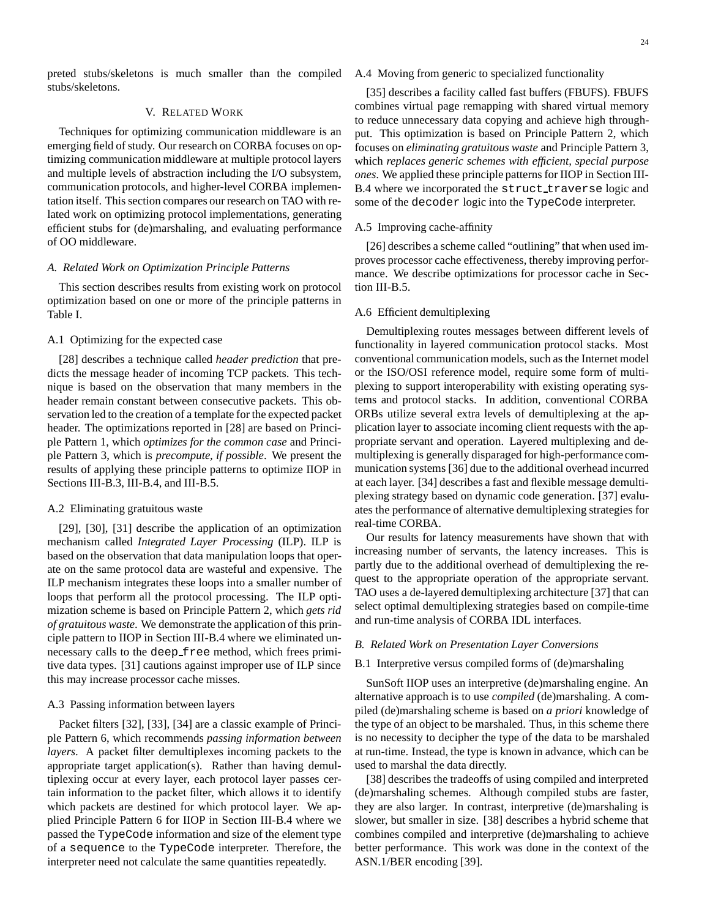preted stubs/skeletons is much smaller than the compiled stubs/skeletons.

## V. RELATED WORK

Techniques for optimizing communication middleware is an emerging field of study. Our research on CORBA focuses on optimizing communication middleware at multiple protocol layers and multiple levels of abstraction including the I/O subsystem, communication protocols, and higher-level CORBA implementation itself. This section compares our research on TAO with related work on optimizing protocol implementations, generating efficient stubs for (de)marshaling, and evaluating performance of OO middleware.

## *A. Related Work on Optimization Principle Patterns*

This section describes results from existing work on protocol optimization based on one or more of the principle patterns in Table I.

### A.1 Optimizing for the expected case

[28] describes a technique called *header prediction* that predicts the message header of incoming TCP packets. This technique is based on the observation that many members in the header remain constant between consecutive packets. This observation led to the creation of a template for the expected packet header. The optimizations reported in [28] are based on Principle Pattern 1, which *optimizes for the common case* and Principle Pattern 3, which is *precompute, if possible*. We present the results of applying these principle patterns to optimize IIOP in Sections III-B.3, III-B.4, and III-B.5.

## A.2 Eliminating gratuitous waste

[29], [30], [31] describe the application of an optimization mechanism called *Integrated Layer Processing* (ILP). ILP is based on the observation that data manipulation loops that operate on the same protocol data are wasteful and expensive. The ILP mechanism integrates these loops into a smaller number of loops that perform all the protocol processing. The ILP optimization scheme is based on Principle Pattern 2, which *gets rid of gratuitous waste*. We demonstrate the application of this principle pattern to IIOP in Section III-B.4 where we eliminated unnecessary calls to the deep free method, which frees primitive data types. [31] cautions against improper use of ILP since this may increase processor cache misses.

## A.3 Passing information between layers

Packet filters [32], [33], [34] are a classic example of Principle Pattern 6, which recommends *passing information between layers*. A packet filter demultiplexes incoming packets to the appropriate target application(s). Rather than having demultiplexing occur at every layer, each protocol layer passes certain information to the packet filter, which allows it to identify which packets are destined for which protocol layer. We applied Principle Pattern 6 for IIOP in Section III-B.4 where we passed the TypeCode information and size of the element type of a sequence to the TypeCode interpreter. Therefore, the interpreter need not calculate the same quantities repeatedly.

### A.4 Moving from generic to specialized functionality

[35] describes a facility called fast buffers (FBUFS). FBUFS combines virtual page remapping with shared virtual memory to reduce unnecessary data copying and achieve high throughput. This optimization is based on Principle Pattern 2, which focuses on *eliminating gratuitous waste* and Principle Pattern 3, which *replaces generic schemes with efficient, special purpose ones*. We applied these principle patterns for IIOP in Section III-B.4 where we incorporated the struct\_traverse logic and some of the decoder logic into the TypeCode interpreter.

## A.5 Improving cache-affinity

[26] describes a scheme called "outlining" that when used improves processor cache effectiveness, thereby improving performance. We describe optimizations for processor cache in Section III-B.5.

## A.6 Efficient demultiplexing

Demultiplexing routes messages between different levels of functionality in layered communication protocol stacks. Most conventional communication models, such as the Internet model or the ISO/OSI reference model, require some form of multiplexing to support interoperability with existing operating systems and protocol stacks. In addition, conventional CORBA ORBs utilize several extra levels of demultiplexing at the application layer to associate incoming client requests with the appropriate servant and operation. Layered multiplexing and demultiplexing is generally disparaged for high-performance communication systems [36] due to the additional overhead incurred at each layer. [34] describes a fast and flexible message demultiplexing strategy based on dynamic code generation. [37] evaluates the performance of alternative demultiplexing strategies for real-time CORBA.

Our results for latency measurements have shown that with increasing number of servants, the latency increases. This is partly due to the additional overhead of demultiplexing the request to the appropriate operation of the appropriate servant. TAO uses a de-layered demultiplexing architecture [37] that can select optimal demultiplexing strategies based on compile-time and run-time analysis of CORBA IDL interfaces.

## *B. Related Work on Presentation Layer Conversions*

## B.1 Interpretive versus compiled forms of (de)marshaling

SunSoft IIOP uses an interpretive (de)marshaling engine. An alternative approach is to use *compiled* (de)marshaling. A compiled (de)marshaling scheme is based on *a priori* knowledge of the type of an object to be marshaled. Thus, in this scheme there is no necessity to decipher the type of the data to be marshaled at run-time. Instead, the type is known in advance, which can be used to marshal the data directly.

[38] describes the tradeoffs of using compiled and interpreted (de)marshaling schemes. Although compiled stubs are faster, they are also larger. In contrast, interpretive (de)marshaling is slower, but smaller in size. [38] describes a hybrid scheme that combines compiled and interpretive (de)marshaling to achieve better performance. This work was done in the context of the ASN.1/BER encoding [39].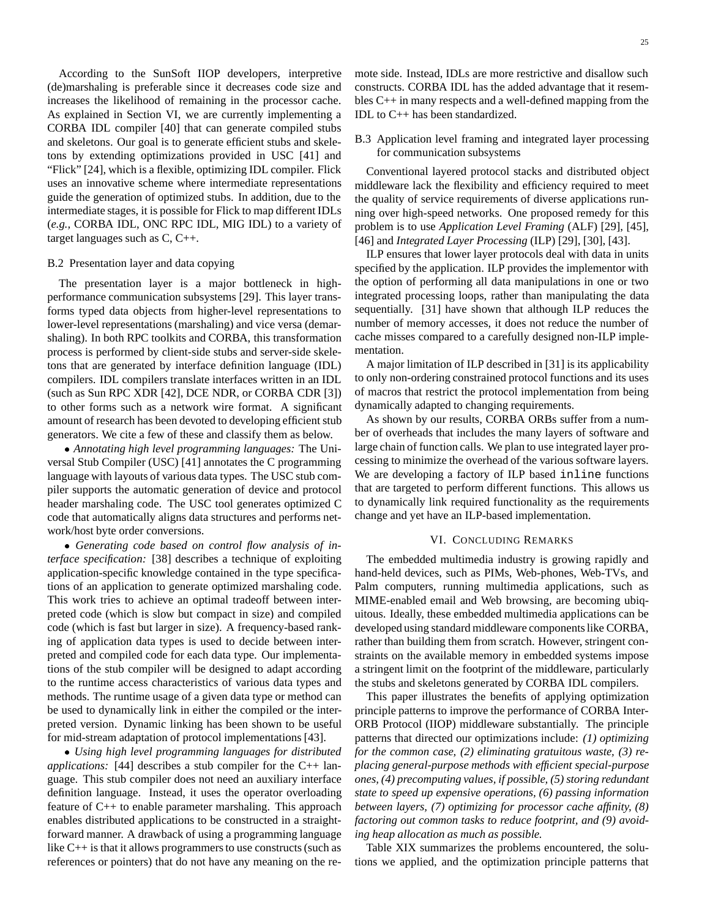According to the SunSoft IIOP developers, interpretive (de)marshaling is preferable since it decreases code size and increases the likelihood of remaining in the processor cache. As explained in Section VI, we are currently implementing a CORBA IDL compiler [40] that can generate compiled stubs and skeletons. Our goal is to generate efficient stubs and skeletons by extending optimizations provided in USC [41] and "Flick" [24], which is a flexible, optimizing IDL compiler. Flick uses an innovative scheme where intermediate representations guide the generation of optimized stubs. In addition, due to the intermediate stages, it is possible for Flick to map different IDLs (*e.g.,* CORBA IDL, ONC RPC IDL, MIG IDL) to a variety of target languages such as C, C++.

## B.2 Presentation layer and data copying

The presentation layer is a major bottleneck in highperformance communication subsystems [29]. This layer transforms typed data objects from higher-level representations to lower-level representations (marshaling) and vice versa (demarshaling). In both RPC toolkits and CORBA, this transformation process is performed by client-side stubs and server-side skeletons that are generated by interface definition language (IDL) compilers. IDL compilers translate interfaces written in an IDL (such as Sun RPC XDR [42], DCE NDR, or CORBA CDR [3]) to other forms such as a network wire format. A significant amount of research has been devoted to developing efficient stub generators. We cite a few of these and classify them as below.

 *Annotating high level programming languages:* The Universal Stub Compiler (USC) [41] annotates the C programming language with layouts of various data types. The USC stub compiler supports the automatic generation of device and protocol header marshaling code. The USC tool generates optimized C code that automatically aligns data structures and performs network/host byte order conversions.

 *Generating code based on control flow analysis of interface specification:* [38] describes a technique of exploiting application-specific knowledge contained in the type specifications of an application to generate optimized marshaling code. This work tries to achieve an optimal tradeoff between interpreted code (which is slow but compact in size) and compiled code (which is fast but larger in size). A frequency-based ranking of application data types is used to decide between interpreted and compiled code for each data type. Our implementations of the stub compiler will be designed to adapt according to the runtime access characteristics of various data types and methods. The runtime usage of a given data type or method can be used to dynamically link in either the compiled or the interpreted version. Dynamic linking has been shown to be useful for mid-stream adaptation of protocol implementations [43].

 *Using high level programming languages for distributed applications:* [44] describes a stub compiler for the C++ language. This stub compiler does not need an auxiliary interface definition language. Instead, it uses the operator overloading feature of C++ to enable parameter marshaling. This approach enables distributed applications to be constructed in a straightforward manner. A drawback of using a programming language like C++ is that it allows programmers to use constructs (such as references or pointers) that do not have any meaning on the re-

mote side. Instead, IDLs are more restrictive and disallow such constructs. CORBA IDL has the added advantage that it resembles C++ in many respects and a well-defined mapping from the IDL to C++ has been standardized.

B.3 Application level framing and integrated layer processing for communication subsystems

Conventional layered protocol stacks and distributed object middleware lack the flexibility and efficiency required to meet the quality of service requirements of diverse applications running over high-speed networks. One proposed remedy for this problem is to use *Application Level Framing* (ALF) [29], [45], [46] and *Integrated Layer Processing* (ILP) [29], [30], [43].

ILP ensures that lower layer protocols deal with data in units specified by the application. ILP provides the implementor with the option of performing all data manipulations in one or two integrated processing loops, rather than manipulating the data sequentially. [31] have shown that although ILP reduces the number of memory accesses, it does not reduce the number of cache misses compared to a carefully designed non-ILP implementation.

A major limitation of ILP described in [31] is its applicability to only non-ordering constrained protocol functions and its uses of macros that restrict the protocol implementation from being dynamically adapted to changing requirements.

As shown by our results, CORBA ORBs suffer from a number of overheads that includes the many layers of software and large chain of function calls. We plan to use integrated layer processing to minimize the overhead of the various software layers. We are developing a factory of ILP based inline functions that are targeted to perform different functions. This allows us to dynamically link required functionality as the requirements change and yet have an ILP-based implementation.

### VI. CONCLUDING REMARKS

The embedded multimedia industry is growing rapidly and hand-held devices, such as PIMs, Web-phones, Web-TVs, and Palm computers, running multimedia applications, such as MIME-enabled email and Web browsing, are becoming ubiquitous. Ideally, these embedded multimedia applications can be developed using standard middleware components like CORBA, rather than building them from scratch. However, stringent constraints on the available memory in embedded systems impose a stringent limit on the footprint of the middleware, particularly the stubs and skeletons generated by CORBA IDL compilers.

This paper illustrates the benefits of applying optimization principle patterns to improve the performance of CORBA Inter-ORB Protocol (IIOP) middleware substantially. The principle patterns that directed our optimizations include: *(1) optimizing for the common case, (2) eliminating gratuitous waste, (3) replacing general-purpose methods with efficient special-purpose ones, (4) precomputing values, if possible, (5) storing redundant state to speed up expensive operations, (6) passing information between layers, (7) optimizing for processor cache affinity, (8) factoring out common tasks to reduce footprint, and (9) avoiding heap allocation as much as possible.*

Table XIX summarizes the problems encountered, the solutions we applied, and the optimization principle patterns that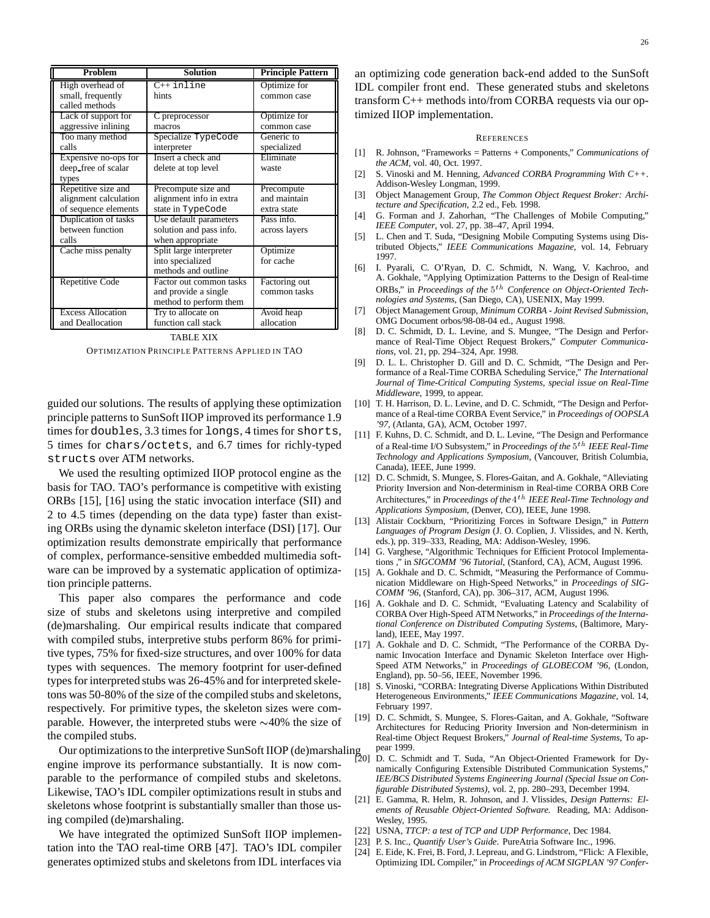| Problem                  | <b>Solution</b>         | <b>Principle Pattern</b> |
|--------------------------|-------------------------|--------------------------|
| High overhead of         | $C++$ inline            | Optimize for             |
| small, frequently        | hints                   | common case              |
| called methods           |                         |                          |
| Lack of support for      | C preprocessor          | Optimize for             |
| aggressive inlining      | macros                  | common case              |
| Too many method          | Specialize TypeCode     | Generic to               |
| calls                    | interpreter             | specialized              |
| Expensive no-ops for     | Insert a check and      | Eliminate                |
| deep free of scalar      | delete at top level     | waste                    |
| types                    |                         |                          |
| Repetitive size and      | Precompute size and     | Precompute               |
| alignment calculation    | alignment info in extra | and maintain             |
| of sequence elements     | state in TypeCode       | extra state              |
| Duplication of tasks     | Use default parameters  | Pass info.               |
| between function         | solution and pass info. | across layers            |
| calls                    | when appropriate        |                          |
| Cache miss penalty       | Split large interpreter | Optimize                 |
|                          | into specialized        | for cache                |
|                          | methods and outline     |                          |
| Repetitive Code          | Factor out common tasks | Factoring out            |
|                          | and provide a single    | common tasks             |
|                          | method to perform them  |                          |
| <b>Excess Allocation</b> | Try to allocate on      | Avoid heap               |
| and Deallocation         | function call stack     | allocation               |

TABLE XIX

OPTIMIZATION PRINCIPLE PATTERNS APPLIED IN TAO

guided our solutions. The results of applying these optimization principle patterns to SunSoft IIOP improved its performance 1.9 times for doubles, 3.3 times for longs, 4 times for shorts, 5 times for chars/octets, and 6.7 times for richly-typed structs over ATM networks.

We used the resulting optimized IIOP protocol engine as the basis for TAO. TAO's performance is competitive with existing ORBs [15], [16] using the static invocation interface (SII) and 2 to 4.5 times (depending on the data type) faster than existing ORBs using the dynamic skeleton interface (DSI) [17]. Our optimization results demonstrate empirically that performance of complex, performance-sensitive embedded multimedia software can be improved by a systematic application of optimization principle patterns.

This paper also compares the performance and code size of stubs and skeletons using interpretive and compiled (de)marshaling. Our empirical results indicate that compared with compiled stubs, interpretive stubs perform 86% for primitive types, 75% for fixed-size structures, and over 100% for data types with sequences. The memory footprint for user-defined types for interpreted stubs was 26-45% and for interpreted skeletons was 50-80% of the size of the compiled stubs and skeletons, respectively. For primitive types, the skeleton sizes were comparable. However, the interpreted stubs were  $\sim$ 40% the size of the compiled stubs.

Our optimizations to the interpretive SunSoft IIOP (de)marshaling<br>[20] engine improve its performance substantially. It is now comparable to the performance of compiled stubs and skeletons. Likewise, TAO's IDL compiler optimizations result in stubs and skeletons whose footprint is substantially smaller than those using compiled (de)marshaling.

We have integrated the optimized SunSoft IIOP implementation into the TAO real-time ORB [47]. TAO's IDL compiler generates optimized stubs and skeletons from IDL interfaces via

### **REFERENCES**

- [1] R. Johnson, "Frameworks = Patterns + Components," *Communications of the ACM*, vol. 40, Oct. 1997.
- [2] S. Vinoski and M. Henning, *Advanced CORBA Programming With C++*. Addison-Wesley Longman, 1999.
- [3] Object Management Group, *The Common Object Request Broker: Architecture and Specification*, 2.2 ed., Feb. 1998.
- [4] G. Forman and J. Zahorhan, "The Challenges of Mobile Computing," *IEEE Computer*, vol. 27, pp. 38–47, April 1994.
- [5] L. Chen and T. Suda, "Designing Mobile Computing Systems using Distributed Objects," *IEEE Communications Magazine*, vol. 14, February 1997.
- [6] I. Pyarali, C. O'Ryan, D. C. Schmidt, N. Wang, V. Kachroo, and A. Gokhale, "Applying Optimization Patterns to the Design of Real-time ORBs," in *Proceedings of the*  $5<sup>th</sup>$  *Conference on Object-Oriented Technologies and Systems*, (San Diego, CA), USENIX, May 1999.
- [7] Object Management Group, *Minimum CORBA Joint Revised Submission*, OMG Document orbos/98-08-04 ed., August 1998.
- [8] D. C. Schmidt, D. L. Levine, and S. Mungee, "The Design and Performance of Real-Time Object Request Brokers," *Computer Communications*, vol. 21, pp. 294–324, Apr. 1998.
- [9] D. L. L. Christopher D. Gill and D. C. Schmidt, "The Design and Performance of a Real-Time CORBA Scheduling Service," *The International Journal of Time-Critical Computing Systems, special issue on Real-Time Middleware*, 1999, to appear.
- [10] T. H. Harrison, D. L. Levine, and D. C. Schmidt, "The Design and Performance of a Real-time CORBA Event Service," in *Proceedings of OOPSLA '97*, (Atlanta, GA), ACM, October 1997.
- [11] F. Kuhns, D. C. Schmidt, and D. L. Levine, "The Design and Performance of a Real-time I/O Subsystem," in *Proceedings of the* <sup>5</sup>th *IEEE Real-Time Technology and Applications Symposium*, (Vancouver, British Columbia, Canada), IEEE, June 1999.
- [12] D. C. Schmidt, S. Mungee, S. Flores-Gaitan, and A. Gokhale, "Alleviating Priority Inversion and Non-determinism in Real-time CORBA ORB Core Architectures," in *Proceedings of the* <sup>4</sup>th *IEEE Real-Time Technology and Applications Symposium*, (Denver, CO), IEEE, June 1998.
- [13] Alistair Cockburn, "Prioritizing Forces in Software Design," in *Pattern Languages of Program Design* (J. O. Coplien, J. Vlissides, and N. Kerth, eds.), pp. 319–333, Reading, MA: Addison-Wesley, 1996.
- [14] G. Varghese, "Algorithmic Techniques for Efficient Protocol Implementations ," in *SIGCOMM '96 Tutorial*, (Stanford, CA), ACM, August 1996.
- [15] A. Gokhale and D. C. Schmidt, "Measuring the Performance of Communication Middleware on High-Speed Networks," in *Proceedings of SIG-COMM '96*, (Stanford, CA), pp. 306–317, ACM, August 1996.
- [16] A. Gokhale and D. C. Schmidt, "Evaluating Latency and Scalability of CORBA Over High-Speed ATM Networks," in *Proceedings of the International Conference on Distributed Computing Systems*, (Baltimore, Maryland), IEEE, May 1997.
- [17] A. Gokhale and D. C. Schmidt, "The Performance of the CORBA Dynamic Invocation Interface and Dynamic Skeleton Interface over High-Speed ATM Networks," in *Proceedings of GLOBECOM '96*, (London, England), pp. 50–56, IEEE, November 1996.
- [18] S. Vinoski, "CORBA: Integrating Diverse Applications Within Distributed Heterogeneous Environments," *IEEE Communications Magazine*, vol. 14, February 1997.
- [19] D. C. Schmidt, S. Mungee, S. Flores-Gaitan, and A. Gokhale, "Software Architectures for Reducing Priority Inversion and Non-determinism in Real-time Object Request Brokers," *Journal of Real-time Systems*, To appear 1999.
- D. C. Schmidt and T. Suda, "An Object-Oriented Framework for Dynamically Configuring Extensible Distributed Communication Systems," *IEE/BCS Distributed Systems Engineering Journal (Special Issue on Configurable Distributed Systems)*, vol. 2, pp. 280–293, December 1994.
- [21] E. Gamma, R. Helm, R. Johnson, and J. Vlissides, *Design Patterns: Elements of Reusable Object-Oriented Software*. Reading, MA: Addison-Wesley, 1995.
- [22] USNA, *TTCP: a test of TCP and UDP Performance*, Dec 1984.
- [23] P. S. Inc., *Quantify User's Guide*. PureAtria Software Inc., 1996.
- [24] E. Eide, K. Frei, B. Ford, J. Lepreau, and G. Lindstrom, "Flick: A Flexible, Optimizing IDL Compiler," in *Proceedings of ACM SIGPLAN '97 Confer-*